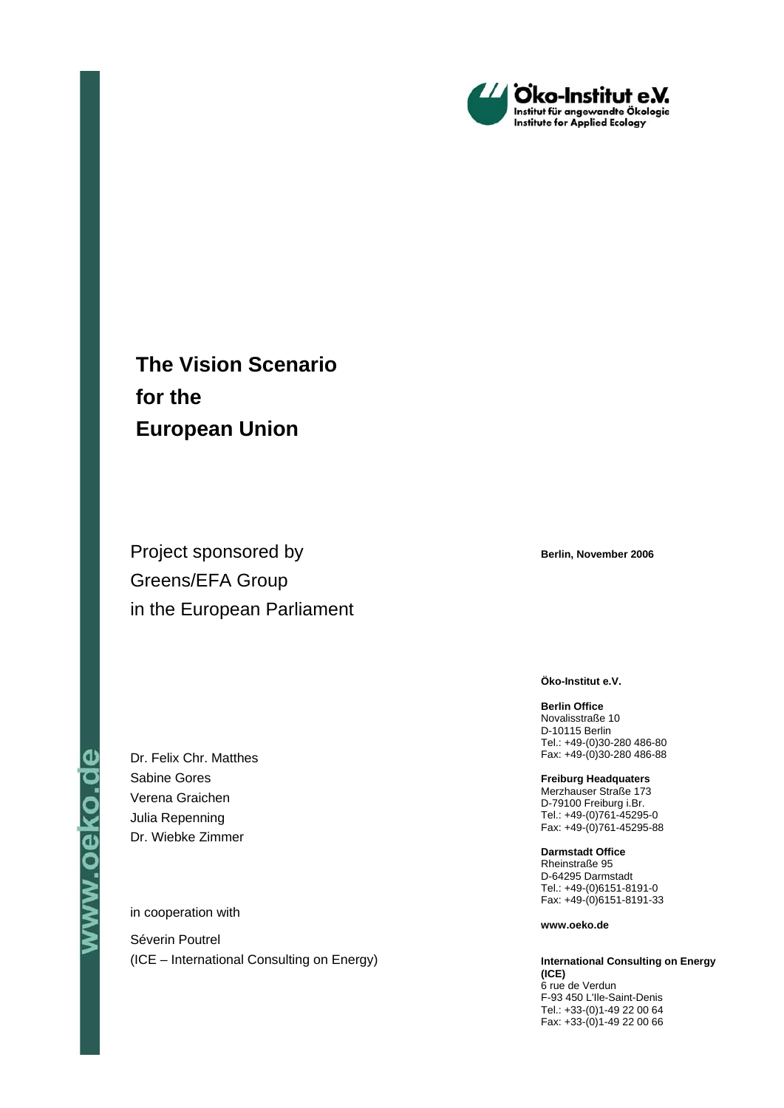

# **The Vision Scenario for the European Union**

Project sponsored by Greens/EFA Group in the European Parliament

Dr. Felix Chr. Matthes Sabine Gores Verena Graichen Julia Repenning Dr. Wiebke Zimmer

in cooperation with

Séverin Poutrel (ICE – International Consulting on Energy) **Berlin, November 2006** 

**Öko-Institut e.V.** 

**Berlin Office**  Novalisstraße 10 D-10115 Berlin Tel.: +49-(0)30-280 486-80 Fax: +49-(0)30-280 486-88

**Freiburg Headquaters**  Merzhauser Straße 173 D-79100 Freiburg i.Br. Tel.: +49-(0)761-45295-0 Fax: +49-(0)761-45295-88

**Darmstadt Office**  Rheinstraße 95 D-64295 Darmstadt Tel.: +49-(0)6151-8191-0 Fax: +49-(0)6151-8191-33

**www.oeko.de** 

**International Consulting on Energy (ICE)**  6 rue de Verdun F-93 450 L'Ile-Saint-Denis Tel.: +33-(0)1-49 22 00 64 Fax: +33-(0)1-49 22 00 66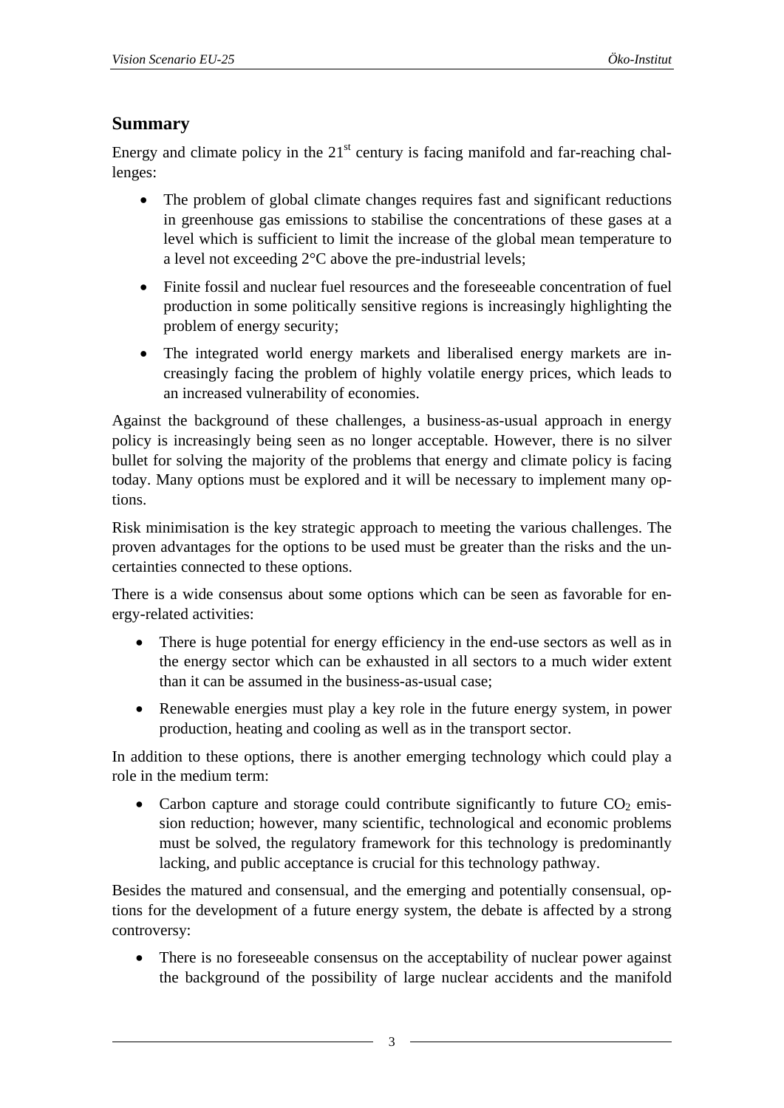# **Summary**

Energy and climate policy in the  $21<sup>st</sup>$  century is facing manifold and far-reaching challenges:

- The problem of global climate changes requires fast and significant reductions in greenhouse gas emissions to stabilise the concentrations of these gases at a level which is sufficient to limit the increase of the global mean temperature to a level not exceeding 2°C above the pre-industrial levels;
- Finite fossil and nuclear fuel resources and the foreseeable concentration of fuel production in some politically sensitive regions is increasingly highlighting the problem of energy security;
- The integrated world energy markets and liberalised energy markets are increasingly facing the problem of highly volatile energy prices, which leads to an increased vulnerability of economies.

Against the background of these challenges, a business-as-usual approach in energy policy is increasingly being seen as no longer acceptable. However, there is no silver bullet for solving the majority of the problems that energy and climate policy is facing today. Many options must be explored and it will be necessary to implement many options.

Risk minimisation is the key strategic approach to meeting the various challenges. The proven advantages for the options to be used must be greater than the risks and the uncertainties connected to these options.

There is a wide consensus about some options which can be seen as favorable for energy-related activities:

- There is huge potential for energy efficiency in the end-use sectors as well as in the energy sector which can be exhausted in all sectors to a much wider extent than it can be assumed in the business-as-usual case;
- Renewable energies must play a key role in the future energy system, in power production, heating and cooling as well as in the transport sector.

In addition to these options, there is another emerging technology which could play a role in the medium term:

• Carbon capture and storage could contribute significantly to future  $CO<sub>2</sub>$  emission reduction; however, many scientific, technological and economic problems must be solved, the regulatory framework for this technology is predominantly lacking, and public acceptance is crucial for this technology pathway.

Besides the matured and consensual, and the emerging and potentially consensual, options for the development of a future energy system, the debate is affected by a strong controversy:

• There is no foreseeable consensus on the acceptability of nuclear power against the background of the possibility of large nuclear accidents and the manifold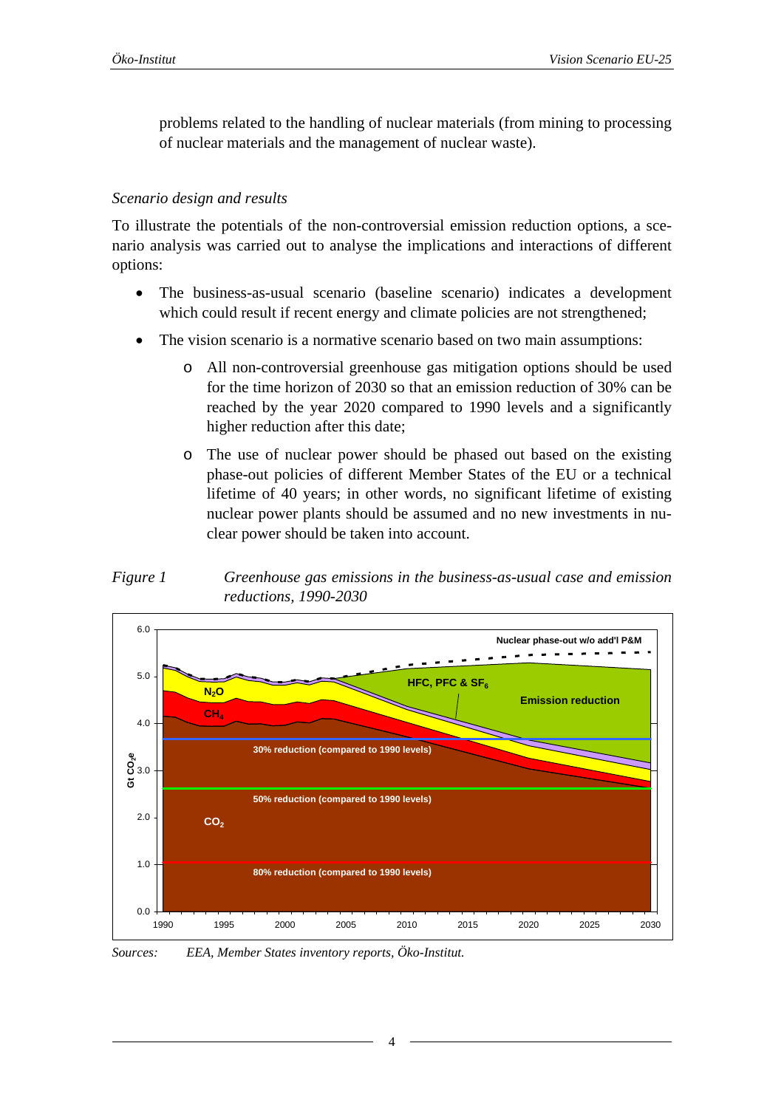<span id="page-3-1"></span>problems related to the handling of nuclear materials (from mining to processing of nuclear materials and the management of nuclear waste).

#### *Scenario design and results*

To illustrate the potentials of the non-controversial emission reduction options, a scenario analysis was carried out to analyse the implications and interactions of different options:

- The business-as-usual scenario (baseline scenario) indicates a development which could result if recent energy and climate policies are not strengthened;
- The vision scenario is a normative scenario based on two main assumptions:
	- o All non-controversial greenhouse gas mitigation options should be used for the time horizon of 2030 so that an emission reduction of 30% can be reached by the year 2020 compared to 1990 levels and a significantly higher reduction after this date;
	- o The use of nuclear power should be phased out based on the existing phase-out policies of different Member States of the EU or a technical lifetime of 40 years; in other words, no significant lifetime of existing nuclear power plants should be assumed and no new investments in nuclear power should be taken into account.

<span id="page-3-0"></span>



*Sources: EEA, Member States inventory reports, Öko-Institut.*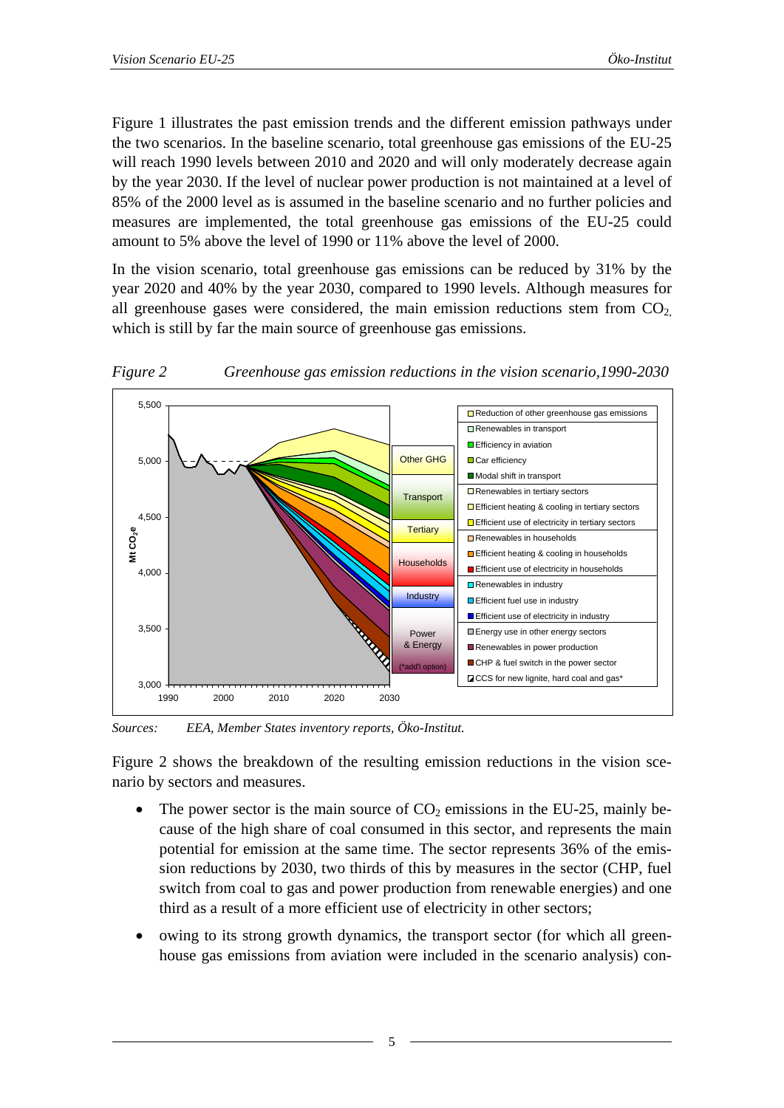<span id="page-4-1"></span>[Figure 1](#page-3-0) illustrates the past emission trends and the different emission pathways under the two scenarios. In the baseline scenario, total greenhouse gas emissions of the EU-25 will reach 1990 levels between 2010 and 2020 and will only moderately decrease again by the year 2030. If the level of nuclear power production is not maintained at a level of 85% of the 2000 level as is assumed in the baseline scenario and no further policies and measures are implemented, the total greenhouse gas emissions of the EU-25 could amount to 5% above the level of 1990 or 11% above the level of 2000.

In the vision scenario, total greenhouse gas emissions can be reduced by 31% by the year 2020 and 40% by the year 2030, compared to 1990 levels. Although measures for all greenhouse gases were considered, the main emission reductions stem from  $CO<sub>2</sub>$ . which is still by far the main source of greenhouse gas emissions.

<span id="page-4-0"></span>

*Figure 2 Greenhouse gas emission reductions in the vision scenario,1990-2030* 

*Sources: EEA, Member States inventory reports, Öko-Institut.* 

[Figure 2](#page-4-0) shows the breakdown of the resulting emission reductions in the vision scenario by sectors and measures.

- The power sector is the main source of  $CO<sub>2</sub>$  emissions in the EU-25, mainly because of the high share of coal consumed in this sector, and represents the main potential for emission at the same time. The sector represents 36% of the emission reductions by 2030, two thirds of this by measures in the sector (CHP, fuel switch from coal to gas and power production from renewable energies) and one third as a result of a more efficient use of electricity in other sectors;
- owing to its strong growth dynamics, the transport sector (for which all greenhouse gas emissions from aviation were included in the scenario analysis) con-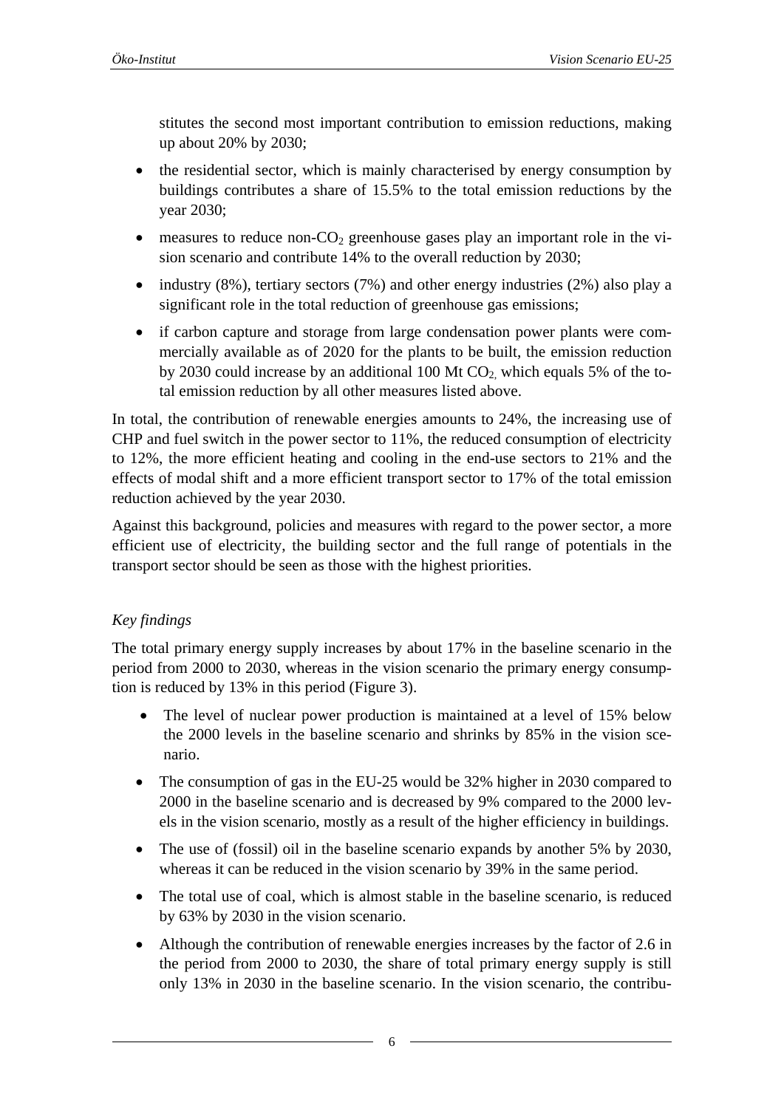stitutes the second most important contribution to emission reductions, making up about 20% by 2030;

- the residential sector, which is mainly characterised by energy consumption by buildings contributes a share of 15.5% to the total emission reductions by the year 2030;
- measures to reduce non- $CO<sub>2</sub>$  greenhouse gases play an important role in the vision scenario and contribute 14% to the overall reduction by 2030;
- industry  $(8\%)$ , tertiary sectors  $(7\%)$  and other energy industries  $(2\%)$  also play a significant role in the total reduction of greenhouse gas emissions;
- if carbon capture and storage from large condensation power plants were commercially available as of 2020 for the plants to be built, the emission reduction by 2030 could increase by an additional 100 Mt  $CO<sub>2</sub>$ , which equals 5% of the total emission reduction by all other measures listed above.

In total, the contribution of renewable energies amounts to 24%, the increasing use of CHP and fuel switch in the power sector to 11%, the reduced consumption of electricity to 12%, the more efficient heating and cooling in the end-use sectors to 21% and the effects of modal shift and a more efficient transport sector to 17% of the total emission reduction achieved by the year 2030.

Against this background, policies and measures with regard to the power sector, a more efficient use of electricity, the building sector and the full range of potentials in the transport sector should be seen as those with the highest priorities.

# *Key findings*

The total primary energy supply increases by about 17% in the baseline scenario in the period from 2000 to 2030, whereas in the vision scenario the primary energy consumption is reduced by 13% in this period [\(Figure 3\)](#page-6-0).

- The level of nuclear power production is maintained at a level of 15% below the 2000 levels in the baseline scenario and shrinks by 85% in the vision scenario.
- The consumption of gas in the EU-25 would be 32% higher in 2030 compared to 2000 in the baseline scenario and is decreased by 9% compared to the 2000 levels in the vision scenario, mostly as a result of the higher efficiency in buildings.
- The use of (fossil) oil in the baseline scenario expands by another 5% by 2030, whereas it can be reduced in the vision scenario by 39% in the same period.
- The total use of coal, which is almost stable in the baseline scenario, is reduced by 63% by 2030 in the vision scenario.
- Although the contribution of renewable energies increases by the factor of 2.6 in the period from 2000 to 2030, the share of total primary energy supply is still only 13% in 2030 in the baseline scenario. In the vision scenario, the contribu-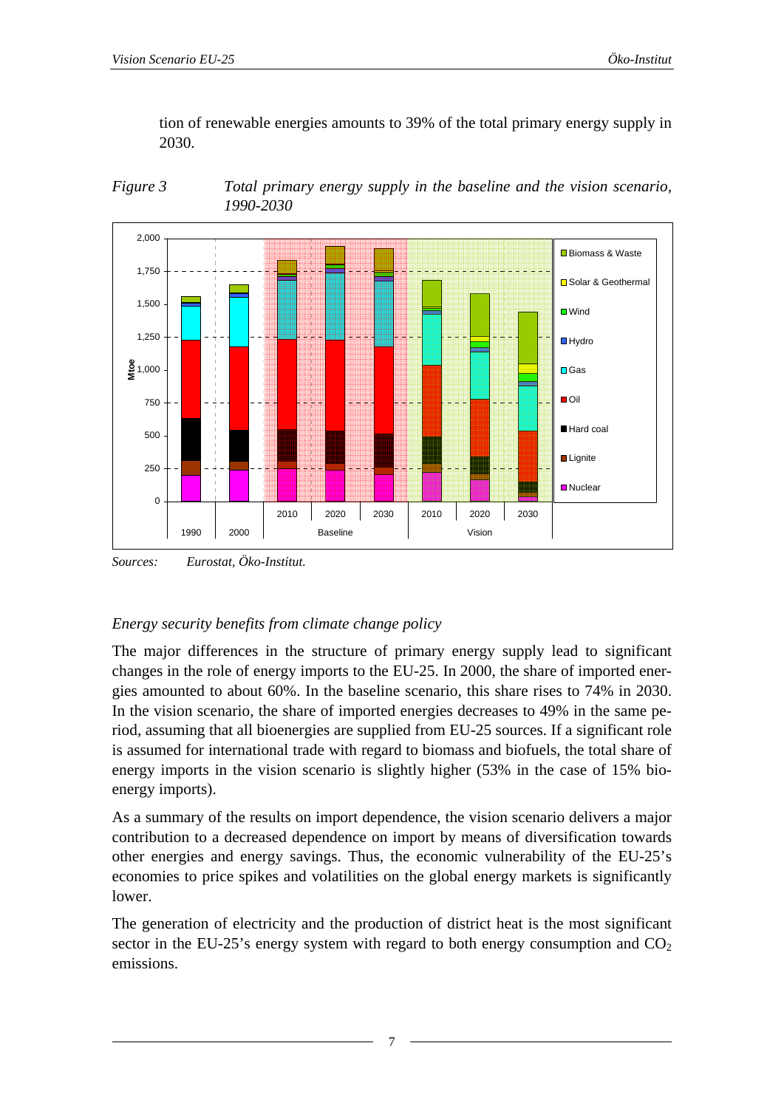<span id="page-6-1"></span>tion of renewable energies amounts to 39% of the total primary energy supply in 2030.

<span id="page-6-0"></span>



*Sources: Eurostat, Öko-Institut.* 

# *Energy security benefits from climate change policy*

The major differences in the structure of primary energy supply lead to significant changes in the role of energy imports to the EU-25. In 2000, the share of imported energies amounted to about 60%. In the baseline scenario, this share rises to 74% in 2030. In the vision scenario, the share of imported energies decreases to 49% in the same period, assuming that all bioenergies are supplied from EU-25 sources. If a significant role is assumed for international trade with regard to biomass and biofuels, the total share of energy imports in the vision scenario is slightly higher (53% in the case of 15% bioenergy imports).

As a summary of the results on import dependence, the vision scenario delivers a major contribution to a decreased dependence on import by means of diversification towards other energies and energy savings. Thus, the economic vulnerability of the EU-25's economies to price spikes and volatilities on the global energy markets is significantly lower.

The generation of electricity and the production of district heat is the most significant sector in the EU-25's energy system with regard to both energy consumption and  $CO<sub>2</sub>$ emissions.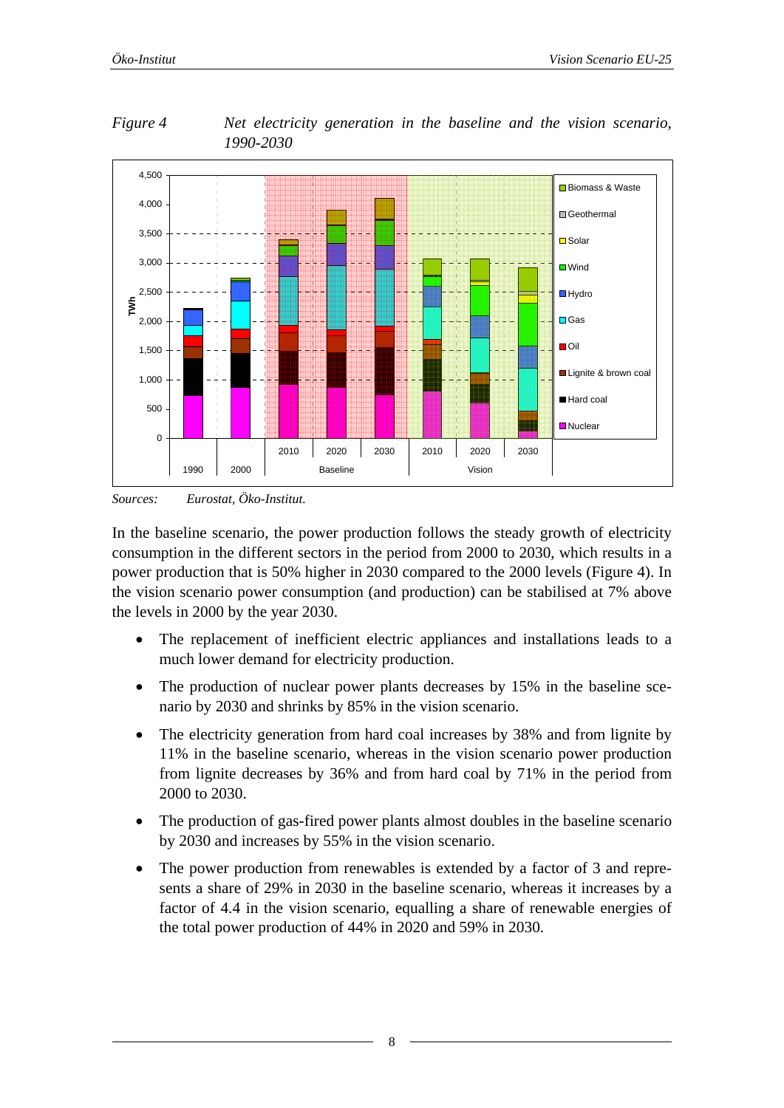

<span id="page-7-1"></span><span id="page-7-0"></span>*Figure 4 Net electricity generation in the baseline and the vision scenario, 1990-2030* 

*Sources: Eurostat, Öko-Institut.* 

In the baseline scenario, the power production follows the steady growth of electricity consumption in the different sectors in the period from 2000 to 2030, which results in a power production that is 50% higher in 2030 compared to the 2000 levels [\(Figure 4](#page-7-0)). In the vision scenario power consumption (and production) can be stabilised at 7% above the levels in 2000 by the year 2030.

- The replacement of inefficient electric appliances and installations leads to a much lower demand for electricity production.
- The production of nuclear power plants decreases by 15% in the baseline scenario by 2030 and shrinks by 85% in the vision scenario.
- The electricity generation from hard coal increases by 38% and from lignite by 11% in the baseline scenario, whereas in the vision scenario power production from lignite decreases by 36% and from hard coal by 71% in the period from 2000 to 2030.
- The production of gas-fired power plants almost doubles in the baseline scenario by 2030 and increases by 55% in the vision scenario.
- The power production from renewables is extended by a factor of 3 and represents a share of 29% in 2030 in the baseline scenario, whereas it increases by a factor of 4.4 in the vision scenario, equalling a share of renewable energies of the total power production of 44% in 2020 and 59% in 2030.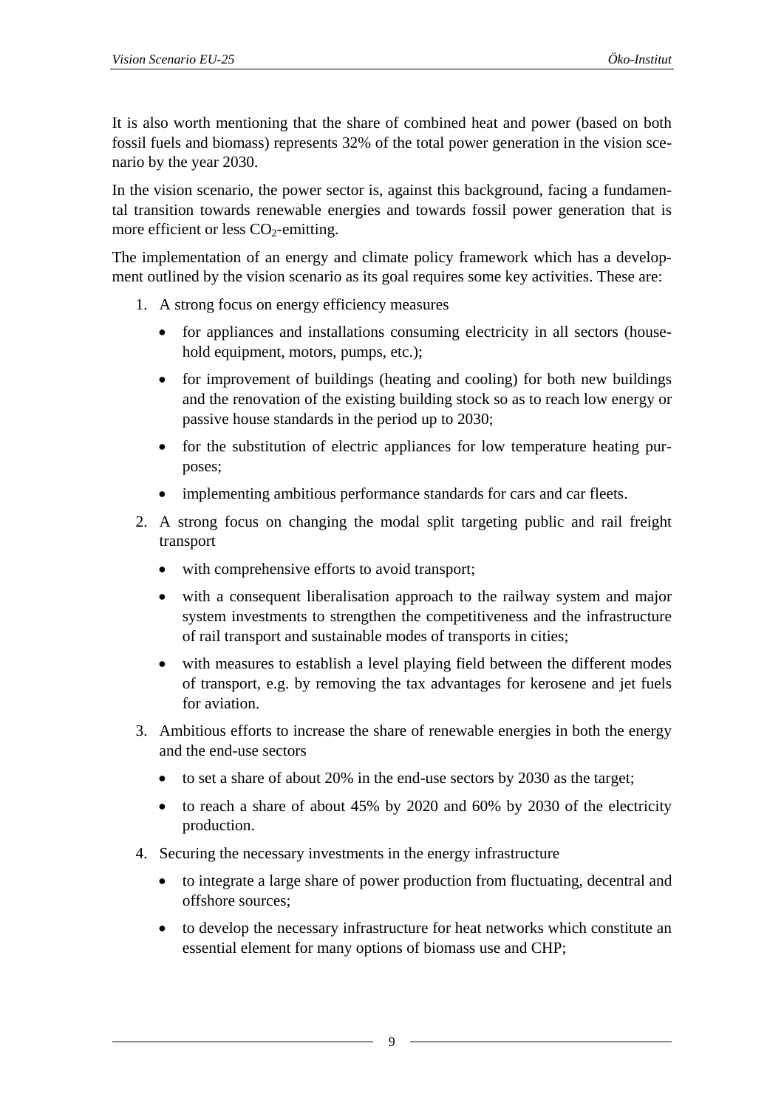It is also worth mentioning that the share of combined heat and power (based on both fossil fuels and biomass) represents 32% of the total power generation in the vision scenario by the year 2030.

In the vision scenario, the power sector is, against this background, facing a fundamental transition towards renewable energies and towards fossil power generation that is more efficient or less  $CO<sub>2</sub>$ -emitting.

The implementation of an energy and climate policy framework which has a development outlined by the vision scenario as its goal requires some key activities. These are:

- 1. A strong focus on energy efficiency measures
	- for appliances and installations consuming electricity in all sectors (household equipment, motors, pumps, etc.);
	- for improvement of buildings (heating and cooling) for both new buildings and the renovation of the existing building stock so as to reach low energy or passive house standards in the period up to 2030;
	- for the substitution of electric appliances for low temperature heating purposes;
	- implementing ambitious performance standards for cars and car fleets.
- 2. A strong focus on changing the modal split targeting public and rail freight transport
	- with comprehensive efforts to avoid transport;
	- with a consequent liberalisation approach to the railway system and major system investments to strengthen the competitiveness and the infrastructure of rail transport and sustainable modes of transports in cities;
	- with measures to establish a level playing field between the different modes of transport, e.g. by removing the tax advantages for kerosene and jet fuels for aviation.
- 3. Ambitious efforts to increase the share of renewable energies in both the energy and the end-use sectors
	- to set a share of about 20% in the end-use sectors by 2030 as the target;
	- to reach a share of about 45% by 2020 and 60% by 2030 of the electricity production.
- 4. Securing the necessary investments in the energy infrastructure
	- to integrate a large share of power production from fluctuating, decentral and offshore sources;
	- to develop the necessary infrastructure for heat networks which constitute an essential element for many options of biomass use and CHP;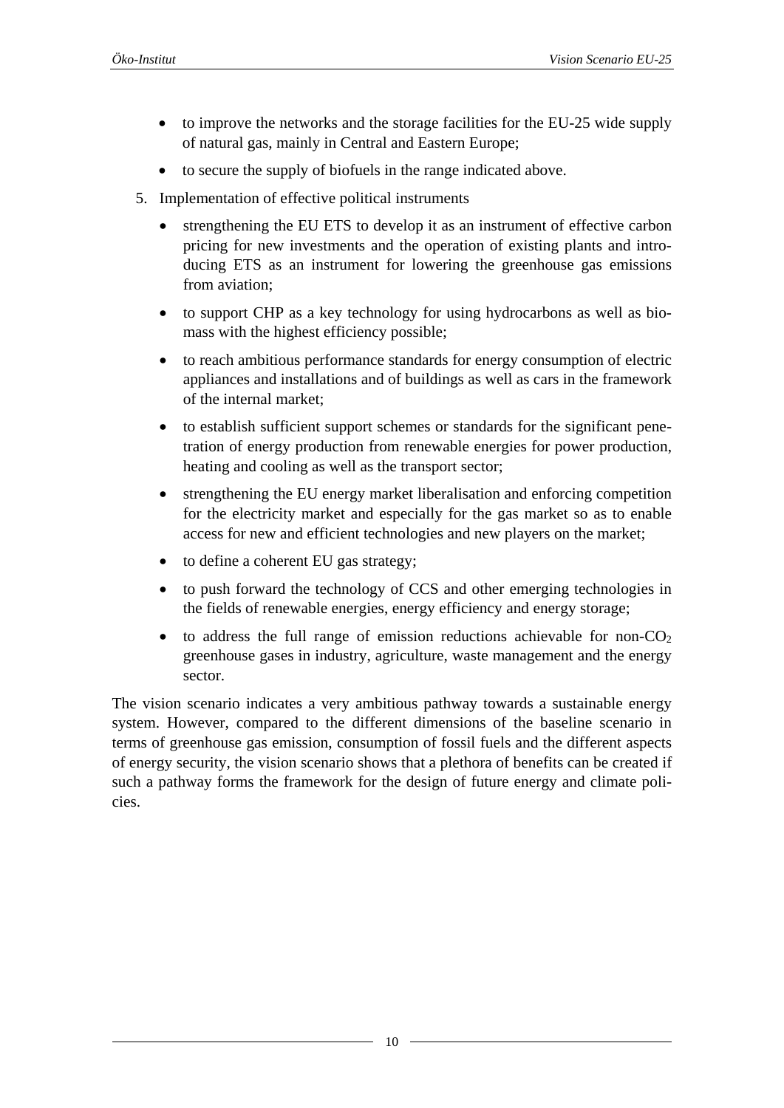- to improve the networks and the storage facilities for the EU-25 wide supply of natural gas, mainly in Central and Eastern Europe;
- to secure the supply of biofuels in the range indicated above.
- 5. Implementation of effective political instruments
	- strengthening the EU ETS to develop it as an instrument of effective carbon pricing for new investments and the operation of existing plants and introducing ETS as an instrument for lowering the greenhouse gas emissions from aviation;
	- to support CHP as a key technology for using hydrocarbons as well as biomass with the highest efficiency possible;
	- to reach ambitious performance standards for energy consumption of electric appliances and installations and of buildings as well as cars in the framework of the internal market;
	- to establish sufficient support schemes or standards for the significant penetration of energy production from renewable energies for power production, heating and cooling as well as the transport sector;
	- strengthening the EU energy market liberalisation and enforcing competition for the electricity market and especially for the gas market so as to enable access for new and efficient technologies and new players on the market;
	- to define a coherent EU gas strategy;
	- to push forward the technology of CCS and other emerging technologies in the fields of renewable energies, energy efficiency and energy storage;
	- to address the full range of emission reductions achievable for non- $CO<sub>2</sub>$ greenhouse gases in industry, agriculture, waste management and the energy sector.

The vision scenario indicates a very ambitious pathway towards a sustainable energy system. However, compared to the different dimensions of the baseline scenario in terms of greenhouse gas emission, consumption of fossil fuels and the different aspects of energy security, the vision scenario shows that a plethora of benefits can be created if such a pathway forms the framework for the design of future energy and climate policies.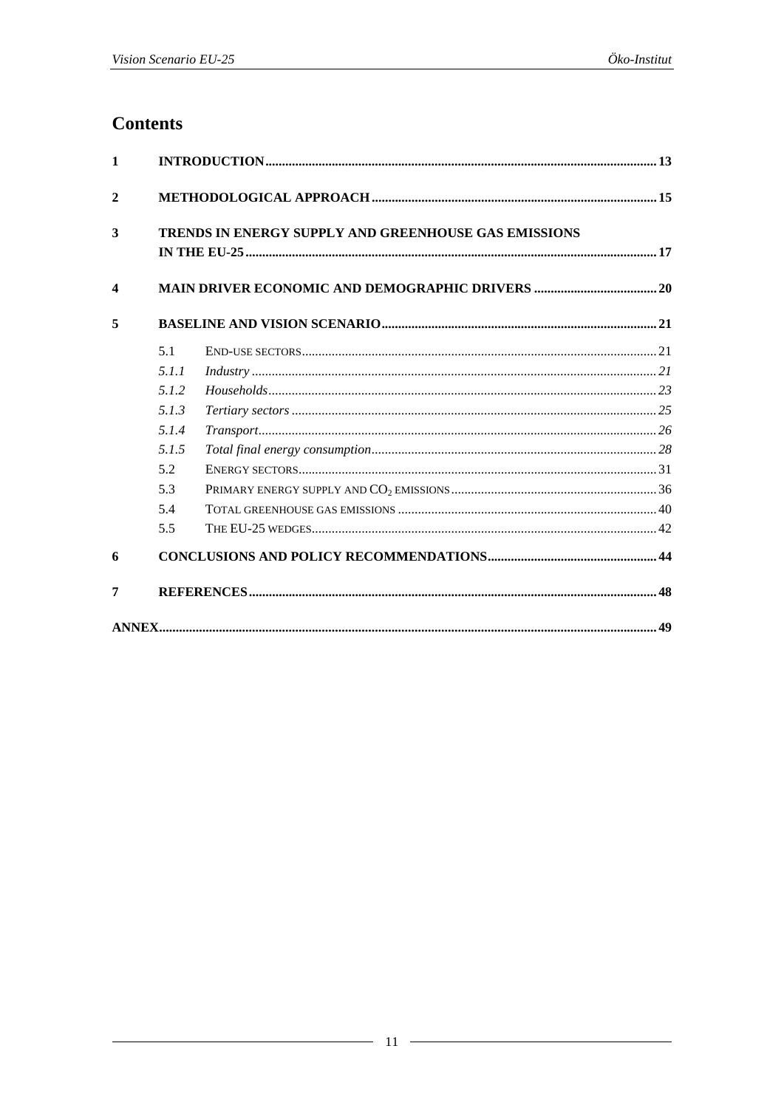# **Contents**

|       | TRENDS IN ENERGY SUPPLY AND GREENHOUSE GAS EMISSIONS    |  |
|-------|---------------------------------------------------------|--|
|       | <b>MAIN DRIVER ECONOMIC AND DEMOGRAPHIC DRIVERS  20</b> |  |
|       |                                                         |  |
| 5.1   |                                                         |  |
| 5.1.1 |                                                         |  |
| 5.1.2 |                                                         |  |
| 5.1.3 |                                                         |  |
| 5.1.4 |                                                         |  |
| 5.1.5 |                                                         |  |
| 5.2   |                                                         |  |
| 5.3   |                                                         |  |
| 5.4   |                                                         |  |
| 5.5   |                                                         |  |
|       |                                                         |  |
|       |                                                         |  |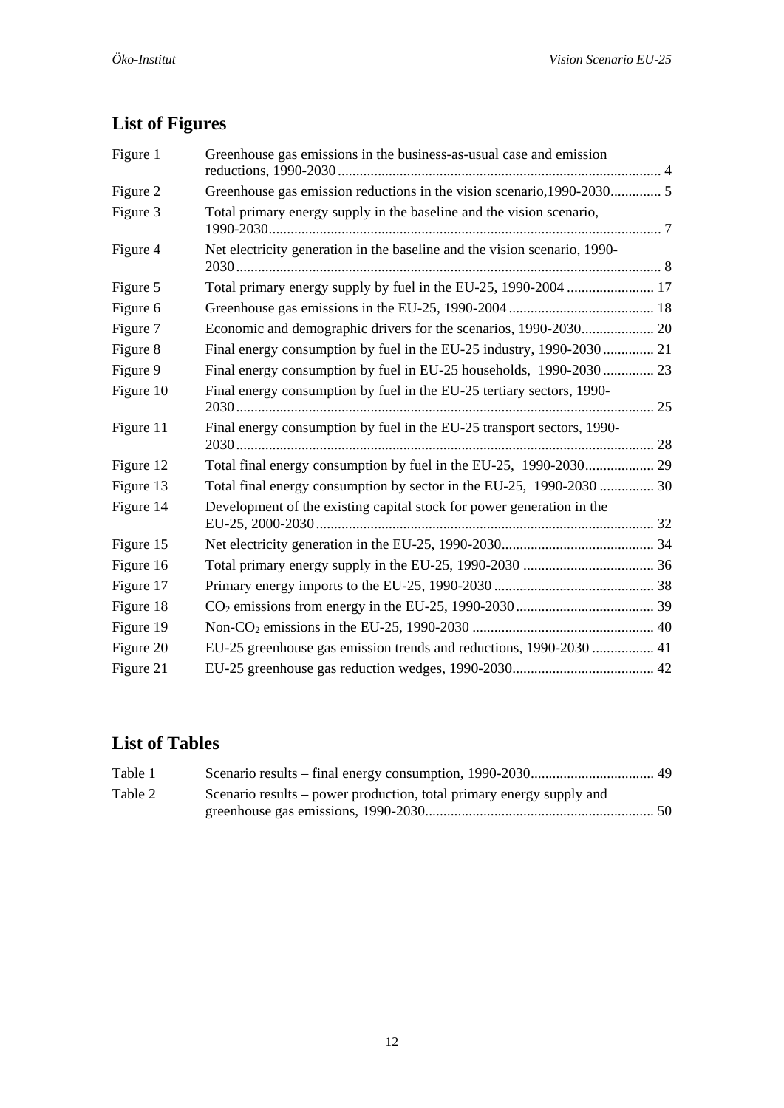# **List of Figures**

| Figure 1  | Greenhouse gas emissions in the business-as-usual case and emission       |  |
|-----------|---------------------------------------------------------------------------|--|
| Figure 2  | Greenhouse gas emission reductions in the vision scenario, 1990-2030 5    |  |
| Figure 3  | Total primary energy supply in the baseline and the vision scenario,      |  |
| Figure 4  | Net electricity generation in the baseline and the vision scenario, 1990- |  |
| Figure 5  |                                                                           |  |
| Figure 6  |                                                                           |  |
| Figure 7  |                                                                           |  |
| Figure 8  | Final energy consumption by fuel in the EU-25 industry, 1990-2030  21     |  |
| Figure 9  | Final energy consumption by fuel in EU-25 households, 1990-2030  23       |  |
| Figure 10 | Final energy consumption by fuel in the EU-25 tertiary sectors, 1990-     |  |
| Figure 11 | Final energy consumption by fuel in the EU-25 transport sectors, 1990-    |  |
| Figure 12 |                                                                           |  |
| Figure 13 | Total final energy consumption by sector in the EU-25, 1990-2030  30      |  |
| Figure 14 | Development of the existing capital stock for power generation in the     |  |
| Figure 15 |                                                                           |  |
| Figure 16 |                                                                           |  |
| Figure 17 |                                                                           |  |
| Figure 18 |                                                                           |  |
| Figure 19 |                                                                           |  |
| Figure 20 | EU-25 greenhouse gas emission trends and reductions, 1990-2030  41        |  |
| Figure 21 |                                                                           |  |

# **List of Tables**

| Table 1 |                                                                      |  |
|---------|----------------------------------------------------------------------|--|
| Table 2 | Scenario results – power production, total primary energy supply and |  |
|         |                                                                      |  |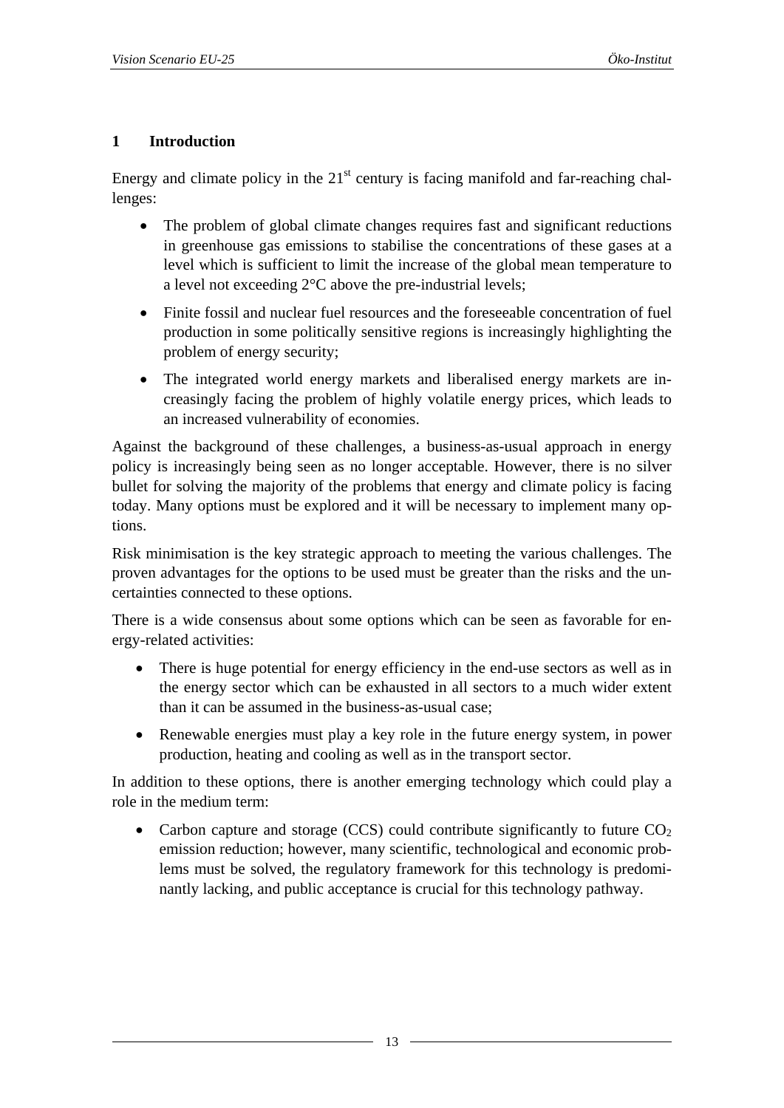#### <span id="page-12-0"></span>**1 Introduction**

Energy and climate policy in the  $21<sup>st</sup>$  century is facing manifold and far-reaching challenges:

- The problem of global climate changes requires fast and significant reductions in greenhouse gas emissions to stabilise the concentrations of these gases at a level which is sufficient to limit the increase of the global mean temperature to a level not exceeding 2°C above the pre-industrial levels;
- Finite fossil and nuclear fuel resources and the foreseeable concentration of fuel production in some politically sensitive regions is increasingly highlighting the problem of energy security;
- The integrated world energy markets and liberalised energy markets are increasingly facing the problem of highly volatile energy prices, which leads to an increased vulnerability of economies.

Against the background of these challenges, a business-as-usual approach in energy policy is increasingly being seen as no longer acceptable. However, there is no silver bullet for solving the majority of the problems that energy and climate policy is facing today. Many options must be explored and it will be necessary to implement many options.

Risk minimisation is the key strategic approach to meeting the various challenges. The proven advantages for the options to be used must be greater than the risks and the uncertainties connected to these options.

There is a wide consensus about some options which can be seen as favorable for energy-related activities:

- There is huge potential for energy efficiency in the end-use sectors as well as in the energy sector which can be exhausted in all sectors to a much wider extent than it can be assumed in the business-as-usual case;
- Renewable energies must play a key role in the future energy system, in power production, heating and cooling as well as in the transport sector.

In addition to these options, there is another emerging technology which could play a role in the medium term:

• Carbon capture and storage (CCS) could contribute significantly to future  $CO<sub>2</sub>$ emission reduction; however, many scientific, technological and economic problems must be solved, the regulatory framework for this technology is predominantly lacking, and public acceptance is crucial for this technology pathway.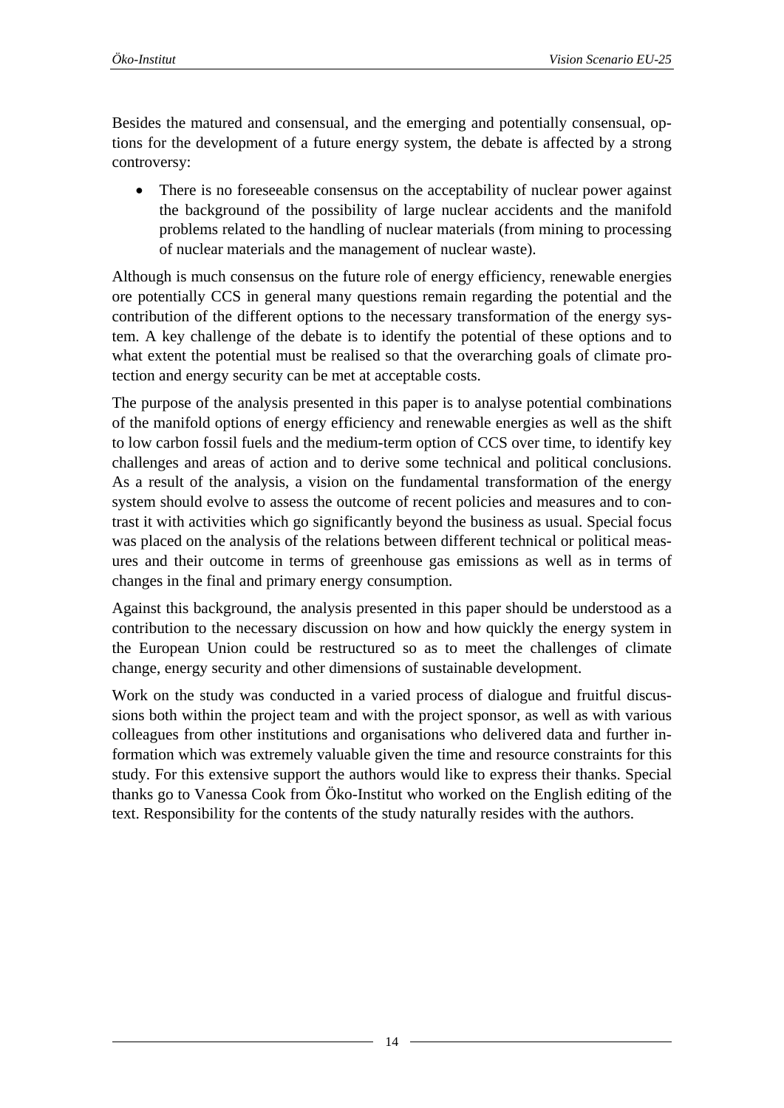Besides the matured and consensual, and the emerging and potentially consensual, options for the development of a future energy system, the debate is affected by a strong controversy:

There is no foreseeable consensus on the acceptability of nuclear power against the background of the possibility of large nuclear accidents and the manifold problems related to the handling of nuclear materials (from mining to processing of nuclear materials and the management of nuclear waste).

Although is much consensus on the future role of energy efficiency, renewable energies ore potentially CCS in general many questions remain regarding the potential and the contribution of the different options to the necessary transformation of the energy system. A key challenge of the debate is to identify the potential of these options and to what extent the potential must be realised so that the overarching goals of climate protection and energy security can be met at acceptable costs.

The purpose of the analysis presented in this paper is to analyse potential combinations of the manifold options of energy efficiency and renewable energies as well as the shift to low carbon fossil fuels and the medium-term option of CCS over time, to identify key challenges and areas of action and to derive some technical and political conclusions. As a result of the analysis, a vision on the fundamental transformation of the energy system should evolve to assess the outcome of recent policies and measures and to contrast it with activities which go significantly beyond the business as usual. Special focus was placed on the analysis of the relations between different technical or political measures and their outcome in terms of greenhouse gas emissions as well as in terms of changes in the final and primary energy consumption.

Against this background, the analysis presented in this paper should be understood as a contribution to the necessary discussion on how and how quickly the energy system in the European Union could be restructured so as to meet the challenges of climate change, energy security and other dimensions of sustainable development.

Work on the study was conducted in a varied process of dialogue and fruitful discussions both within the project team and with the project sponsor, as well as with various colleagues from other institutions and organisations who delivered data and further information which was extremely valuable given the time and resource constraints for this study. For this extensive support the authors would like to express their thanks. Special thanks go to Vanessa Cook from Öko-Institut who worked on the English editing of the text. Responsibility for the contents of the study naturally resides with the authors.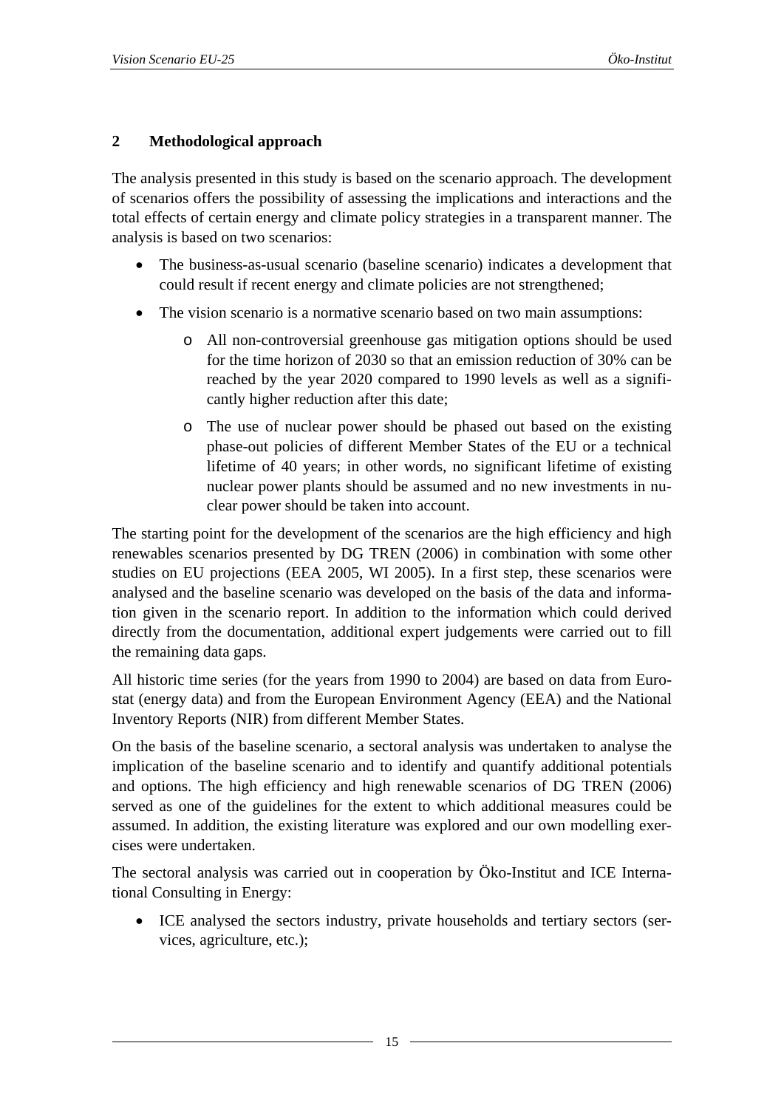# <span id="page-14-0"></span>**2 Methodological approach**

The analysis presented in this study is based on the scenario approach. The development of scenarios offers the possibility of assessing the implications and interactions and the total effects of certain energy and climate policy strategies in a transparent manner. The analysis is based on two scenarios:

- The business-as-usual scenario (baseline scenario) indicates a development that could result if recent energy and climate policies are not strengthened;
- The vision scenario is a normative scenario based on two main assumptions:
	- o All non-controversial greenhouse gas mitigation options should be used for the time horizon of 2030 so that an emission reduction of 30% can be reached by the year 2020 compared to 1990 levels as well as a significantly higher reduction after this date;
	- o The use of nuclear power should be phased out based on the existing phase-out policies of different Member States of the EU or a technical lifetime of 40 years; in other words, no significant lifetime of existing nuclear power plants should be assumed and no new investments in nuclear power should be taken into account.

The starting point for the development of the scenarios are the high efficiency and high renewables scenarios presented by DG TREN (2006) in combination with some other studies on EU projections (EEA 2005, WI 2005). In a first step, these scenarios were analysed and the baseline scenario was developed on the basis of the data and information given in the scenario report. In addition to the information which could derived directly from the documentation, additional expert judgements were carried out to fill the remaining data gaps.

All historic time series (for the years from 1990 to 2004) are based on data from Eurostat (energy data) and from the European Environment Agency (EEA) and the National Inventory Reports (NIR) from different Member States.

On the basis of the baseline scenario, a sectoral analysis was undertaken to analyse the implication of the baseline scenario and to identify and quantify additional potentials and options. The high efficiency and high renewable scenarios of DG TREN (2006) served as one of the guidelines for the extent to which additional measures could be assumed. In addition, the existing literature was explored and our own modelling exercises were undertaken.

The sectoral analysis was carried out in cooperation by Öko-Institut and ICE International Consulting in Energy:

• ICE analysed the sectors industry, private households and tertiary sectors (services, agriculture, etc.);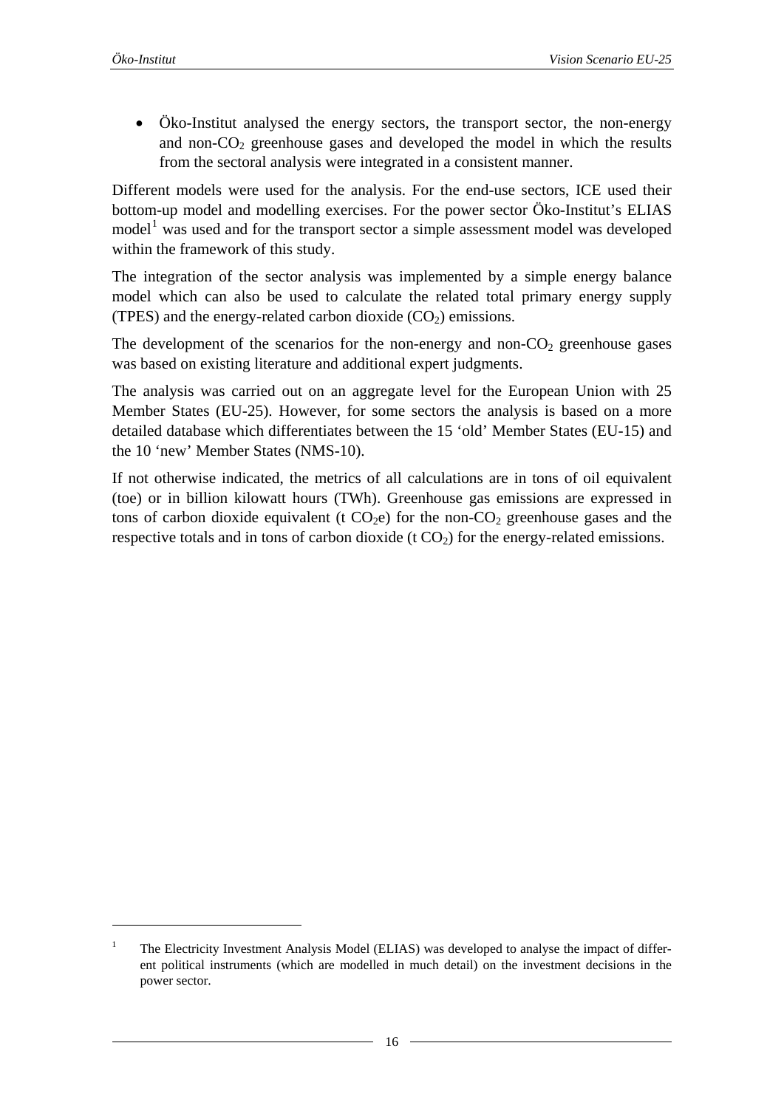1

<span id="page-15-0"></span>• Öko-Institut analysed the energy sectors, the transport sector, the non-energy and non- $CO<sub>2</sub>$  greenhouse gases and developed the model in which the results from the sectoral analysis were integrated in a consistent manner.

Different models were used for the analysis. For the end-use sectors, ICE used their bottom-up model and modelling exercises. For the power sector Öko-Institut's ELIAS model<sup>[1](#page-15-0)</sup> was used and for the transport sector a simple assessment model was developed within the framework of this study.

The integration of the sector analysis was implemented by a simple energy balance model which can also be used to calculate the related total primary energy supply (TPES) and the energy-related carbon dioxide  $(CO<sub>2</sub>)$  emissions.

The development of the scenarios for the non-energy and non- $CO<sub>2</sub>$  greenhouse gases was based on existing literature and additional expert judgments.

The analysis was carried out on an aggregate level for the European Union with 25 Member States (EU-25). However, for some sectors the analysis is based on a more detailed database which differentiates between the 15 'old' Member States (EU-15) and the 10 'new' Member States (NMS-10).

If not otherwise indicated, the metrics of all calculations are in tons of oil equivalent (toe) or in billion kilowatt hours (TWh). Greenhouse gas emissions are expressed in tons of carbon dioxide equivalent (t  $CO<sub>2</sub>e$ ) for the non- $CO<sub>2</sub>$  greenhouse gases and the respective totals and in tons of carbon dioxide  $(t CO<sub>2</sub>)$  for the energy-related emissions.

<sup>1</sup> The Electricity Investment Analysis Model (ELIAS) was developed to analyse the impact of different political instruments (which are modelled in much detail) on the investment decisions in the power sector.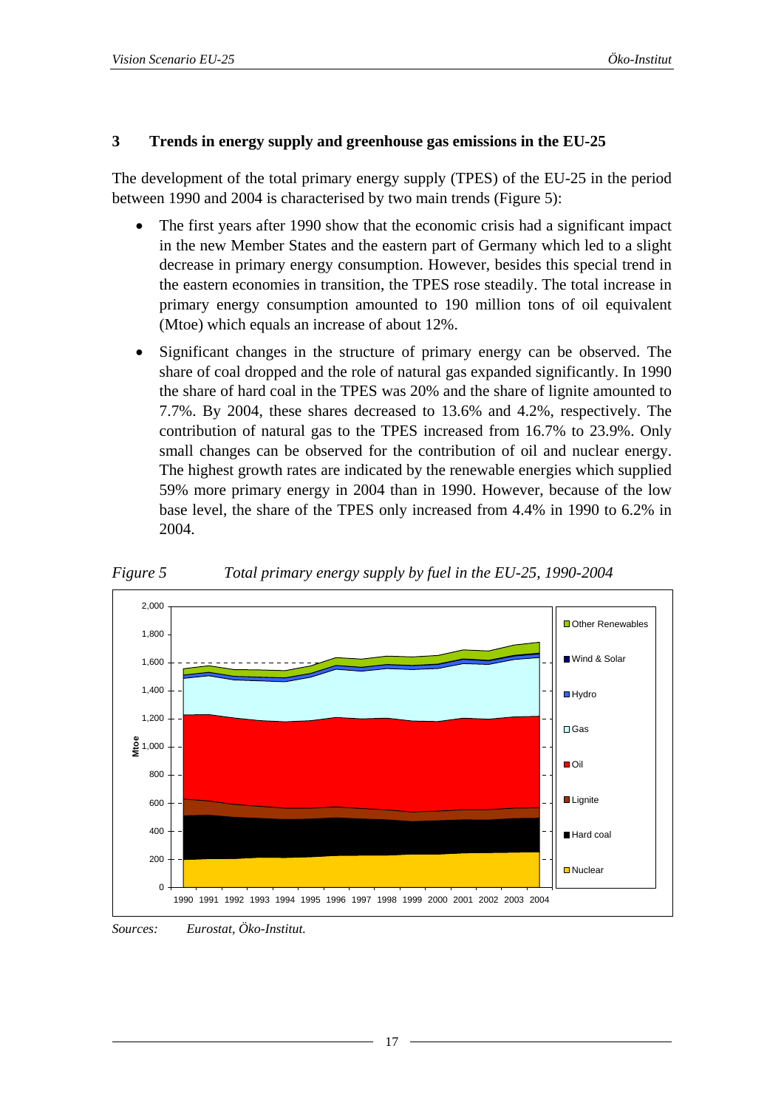#### <span id="page-16-0"></span>**3 Trends in energy supply and greenhouse gas emissions in the EU-25**

The development of the total primary energy supply (TPES) of the EU-25 in the period between 1990 and 2004 is characterised by two main trends [\(Figure 5\)](#page-16-1):

- The first years after 1990 show that the economic crisis had a significant impact in the new Member States and the eastern part of Germany which led to a slight decrease in primary energy consumption. However, besides this special trend in the eastern economies in transition, the TPES rose steadily. The total increase in primary energy consumption amounted to 190 million tons of oil equivalent (Mtoe) which equals an increase of about 12%.
- Significant changes in the structure of primary energy can be observed. The share of coal dropped and the role of natural gas expanded significantly. In 1990 the share of hard coal in the TPES was 20% and the share of lignite amounted to 7.7%. By 2004, these shares decreased to 13.6% and 4.2%, respectively. The contribution of natural gas to the TPES increased from 16.7% to 23.9%. Only small changes can be observed for the contribution of oil and nuclear energy. The highest growth rates are indicated by the renewable energies which supplied 59% more primary energy in 2004 than in 1990. However, because of the low base level, the share of the TPES only increased from 4.4% in 1990 to 6.2% in 2004.



<span id="page-16-1"></span>*Figure 5 Total primary energy supply by fuel in the EU-25, 1990-2004* 

*Sources: Eurostat, Öko-Institut.*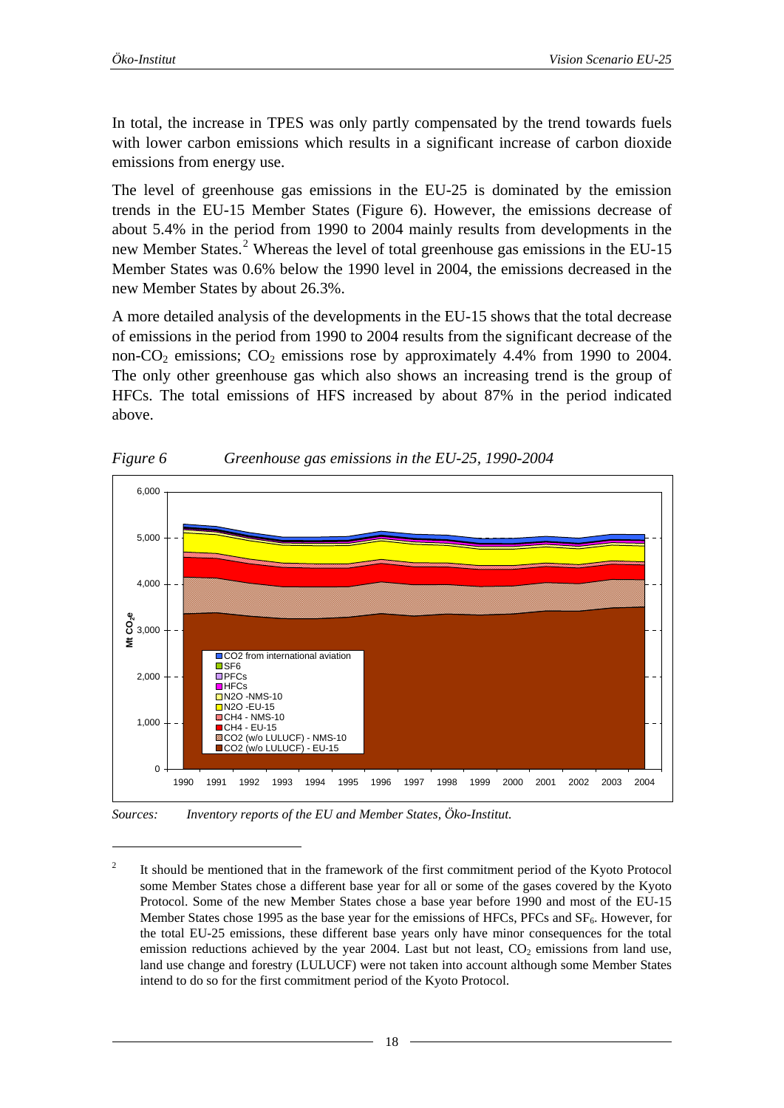1

<span id="page-17-0"></span>In total, the increase in TPES was only partly compensated by the trend towards fuels with lower carbon emissions which results in a significant increase of carbon dioxide emissions from energy use.

The level of greenhouse gas emissions in the EU-25 is dominated by the emission trends in the EU-15 Member States ([Figure 6](#page-17-1)). However, the emissions decrease of about 5.4% in the period from 1990 to 2004 mainly results from developments in the new Member States.<sup>[2](#page-17-0)</sup> Whereas the level of total greenhouse gas emissions in the EU-15 Member States was 0.6% below the 1990 level in 2004, the emissions decreased in the new Member States by about 26.3%.

A more detailed analysis of the developments in the EU-15 shows that the total decrease of emissions in the period from 1990 to 2004 results from the significant decrease of the non- $CO_2$  emissions;  $CO_2$  emissions rose by approximately 4.4% from 1990 to 2004. The only other greenhouse gas which also shows an increasing trend is the group of HFCs. The total emissions of HFS increased by about 87% in the period indicated above.

<span id="page-17-1"></span>

*Figure 6 Greenhouse gas emissions in the EU-25, 1990-2004* 

*Sources: Inventory reports of the EU and Member States, Öko-Institut.* 

<sup>2</sup> It should be mentioned that in the framework of the first commitment period of the Kyoto Protocol some Member States chose a different base year for all or some of the gases covered by the Kyoto Protocol. Some of the new Member States chose a base year before 1990 and most of the EU-15 Member States chose 1995 as the base year for the emissions of HFCs, PFCs and SF<sub>6</sub>. However, for the total EU-25 emissions, these different base years only have minor consequences for the total emission reductions achieved by the year 2004. Last but not least,  $CO<sub>2</sub>$  emissions from land use, land use change and forestry (LULUCF) were not taken into account although some Member States intend to do so for the first commitment period of the Kyoto Protocol.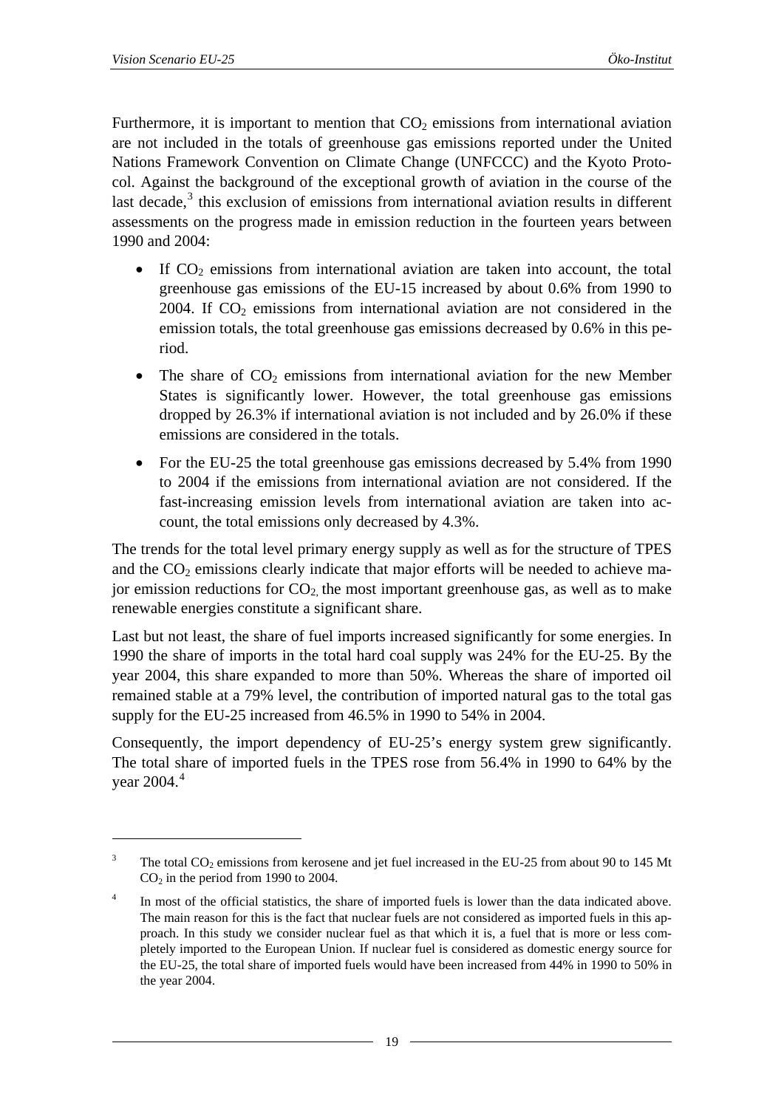1

<span id="page-18-0"></span>Furthermore, it is important to mention that  $CO<sub>2</sub>$  emissions from international aviation are not included in the totals of greenhouse gas emissions reported under the United Nations Framework Convention on Climate Change (UNFCCC) and the Kyoto Protocol. Against the background of the exceptional growth of aviation in the course of the last decade, $3$  this exclusion of emissions from international aviation results in different assessments on the progress made in emission reduction in the fourteen years between 1990 and 2004:

- If  $CO<sub>2</sub>$  emissions from international aviation are taken into account, the total greenhouse gas emissions of the EU-15 increased by about 0.6% from 1990 to 2004. If  $CO<sub>2</sub>$  emissions from international aviation are not considered in the emission totals, the total greenhouse gas emissions decreased by 0.6% in this period.
- The share of  $CO<sub>2</sub>$  emissions from international aviation for the new Member States is significantly lower. However, the total greenhouse gas emissions dropped by 26.3% if international aviation is not included and by 26.0% if these emissions are considered in the totals.
- For the EU-25 the total greenhouse gas emissions decreased by 5.4% from 1990 to 2004 if the emissions from international aviation are not considered. If the fast-increasing emission levels from international aviation are taken into account, the total emissions only decreased by 4.3%.

The trends for the total level primary energy supply as well as for the structure of TPES and the  $CO<sub>2</sub>$  emissions clearly indicate that major efforts will be needed to achieve major emission reductions for  $CO<sub>2</sub>$ , the most important greenhouse gas, as well as to make renewable energies constitute a significant share.

Last but not least, the share of fuel imports increased significantly for some energies. In 1990 the share of imports in the total hard coal supply was 24% for the EU-25. By the year 2004, this share expanded to more than 50%. Whereas the share of imported oil remained stable at a 79% level, the contribution of imported natural gas to the total gas supply for the EU-25 increased from 46.5% in 1990 to 54% in 2004.

Consequently, the import dependency of EU-25's energy system grew significantly. The total share of imported fuels in the TPES rose from 56.4% in 1990 to 64% by the year  $2004.<sup>4</sup>$  $2004.<sup>4</sup>$  $2004.<sup>4</sup>$ 

<sup>3</sup> The total  $CO_2$  emissions from kerosene and jet fuel increased in the EU-25 from about 90 to 145 Mt  $CO<sub>2</sub>$  in the period from 1990 to 2004.

<sup>4</sup> In most of the official statistics, the share of imported fuels is lower than the data indicated above. The main reason for this is the fact that nuclear fuels are not considered as imported fuels in this approach. In this study we consider nuclear fuel as that which it is, a fuel that is more or less completely imported to the European Union. If nuclear fuel is considered as domestic energy source for the EU-25, the total share of imported fuels would have been increased from 44% in 1990 to 50% in the year 2004.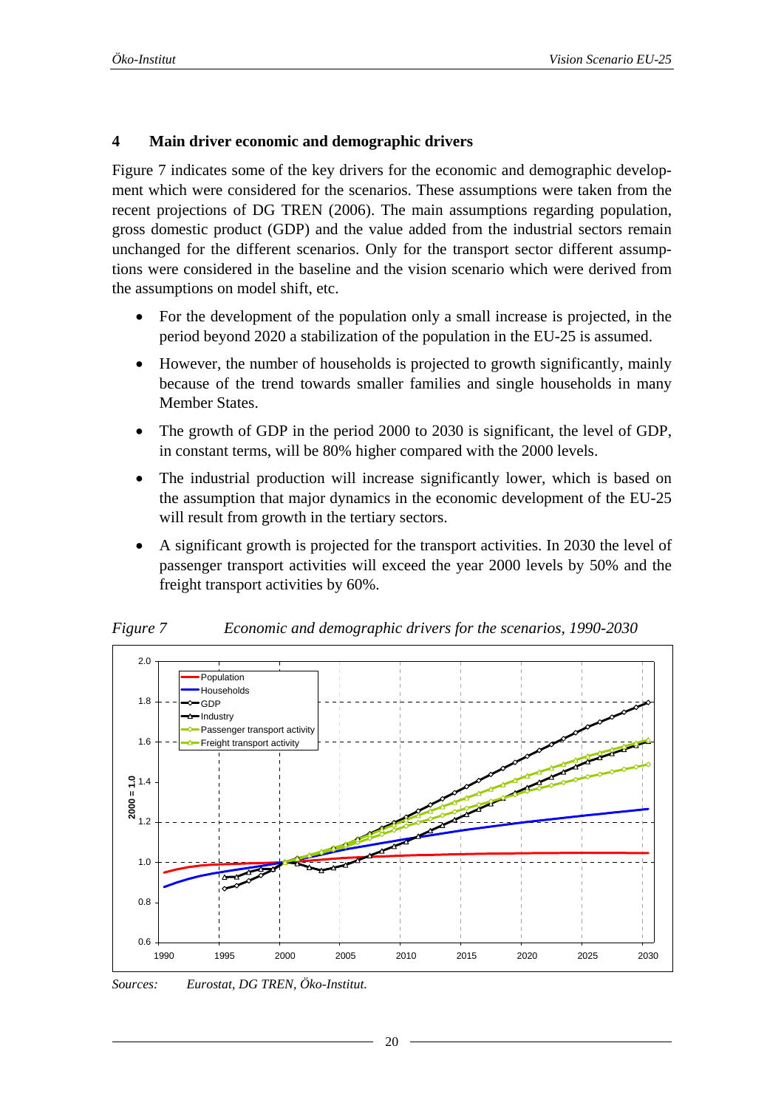#### <span id="page-19-0"></span>**4 Main driver economic and demographic drivers**

[Figure 7](#page-19-1) indicates some of the key drivers for the economic and demographic development which were considered for the scenarios. These assumptions were taken from the recent projections of DG TREN (2006). The main assumptions regarding population, gross domestic product (GDP) and the value added from the industrial sectors remain unchanged for the different scenarios. Only for the transport sector different assumptions were considered in the baseline and the vision scenario which were derived from the assumptions on model shift, etc.

- For the development of the population only a small increase is projected, in the period beyond 2020 a stabilization of the population in the EU-25 is assumed.
- However, the number of households is projected to growth significantly, mainly because of the trend towards smaller families and single households in many Member States.
- The growth of GDP in the period 2000 to 2030 is significant, the level of GDP, in constant terms, will be 80% higher compared with the 2000 levels.
- The industrial production will increase significantly lower, which is based on the assumption that major dynamics in the economic development of the EU-25 will result from growth in the tertiary sectors.
- A significant growth is projected for the transport activities. In 2030 the level of passenger transport activities will exceed the year 2000 levels by 50% and the freight transport activities by 60%.



<span id="page-19-1"></span>*Figure 7 Economic and demographic drivers for the scenarios, 1990-2030* 

*Sources: Eurostat, DG TREN, Öko-Institut.*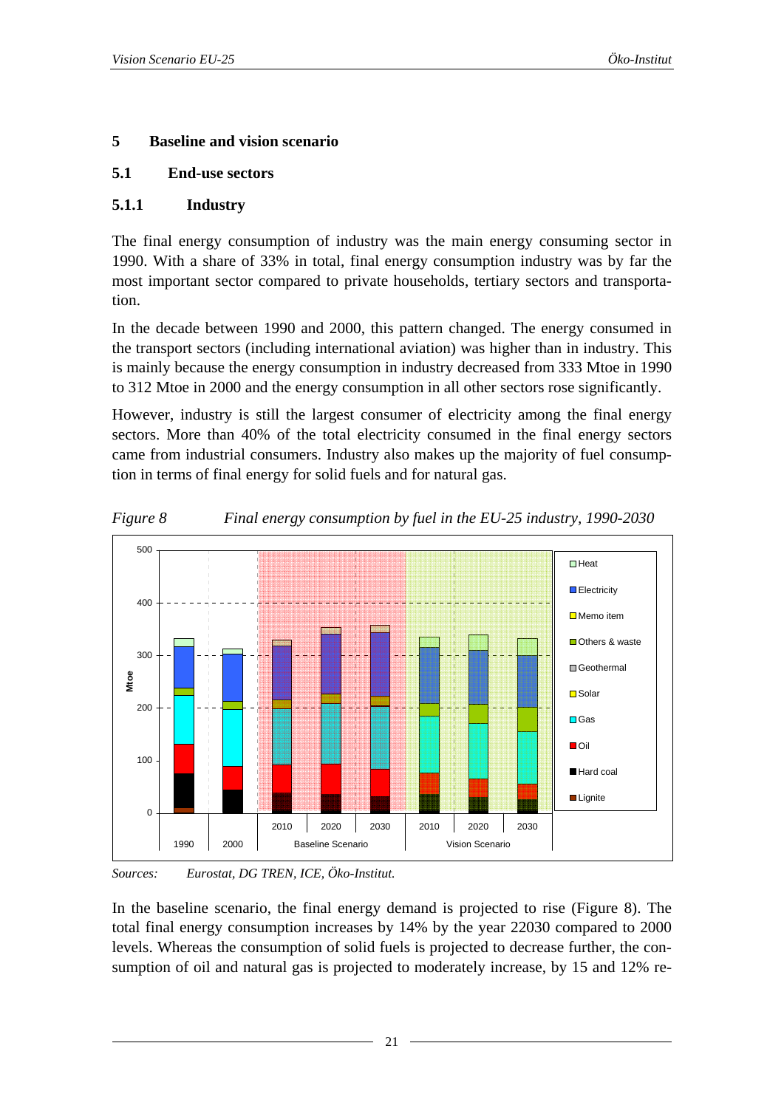#### <span id="page-20-0"></span>**5 Baseline and vision scenario**

#### **5.1 End-use sectors**

#### **5.1.1 Industry**

The final energy consumption of industry was the main energy consuming sector in 1990. With a share of 33% in total, final energy consumption industry was by far the most important sector compared to private households, tertiary sectors and transportation.

In the decade between 1990 and 2000, this pattern changed. The energy consumed in the transport sectors (including international aviation) was higher than in industry. This is mainly because the energy consumption in industry decreased from 333 Mtoe in 1990 to 312 Mtoe in 2000 and the energy consumption in all other sectors rose significantly.

However, industry is still the largest consumer of electricity among the final energy sectors. More than 40% of the total electricity consumed in the final energy sectors came from industrial consumers. Industry also makes up the majority of fuel consumption in terms of final energy for solid fuels and for natural gas.

<span id="page-20-1"></span>

*Figure 8 Final energy consumption by fuel in the EU-25 industry, 1990-2030* 

*Sources: Eurostat, DG TREN, ICE, Öko-Institut.* 

In the baseline scenario, the final energy demand is projected to rise [\(Figure 8](#page-20-1)). The total final energy consumption increases by 14% by the year 22030 compared to 2000 levels. Whereas the consumption of solid fuels is projected to decrease further, the consumption of oil and natural gas is projected to moderately increase, by 15 and 12% re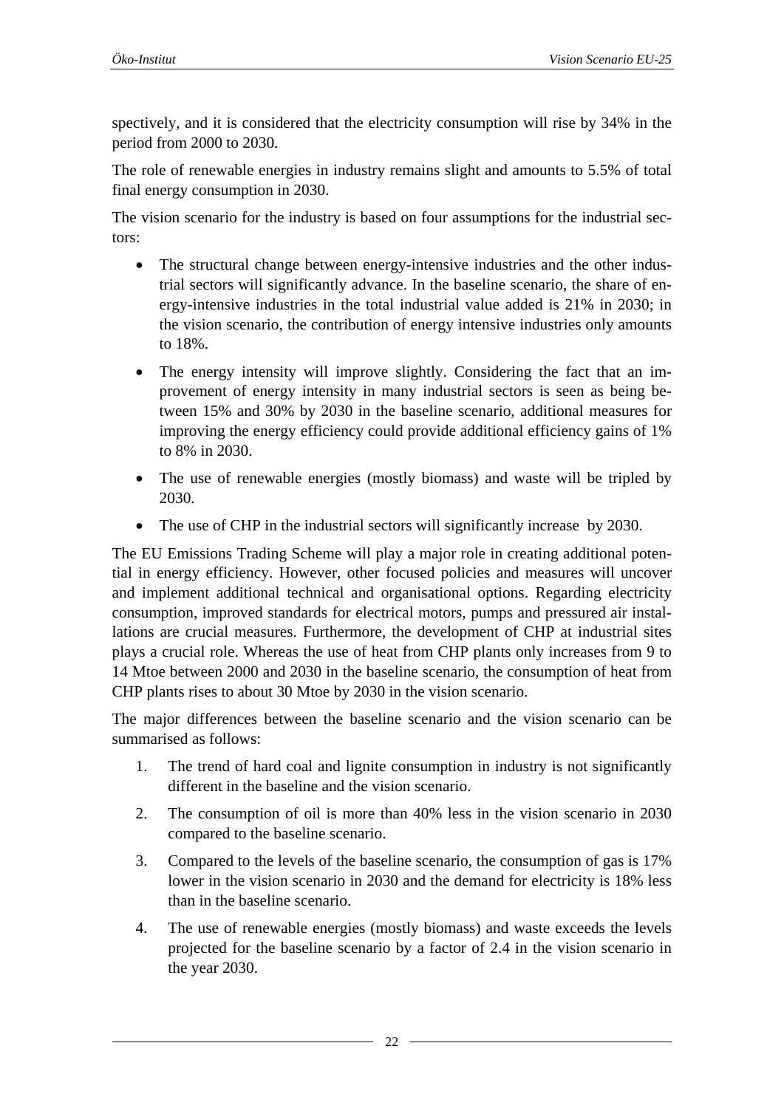spectively, and it is considered that the electricity consumption will rise by 34% in the period from 2000 to 2030.

The role of renewable energies in industry remains slight and amounts to 5.5% of total final energy consumption in 2030.

The vision scenario for the industry is based on four assumptions for the industrial sectors:

- The structural change between energy-intensive industries and the other industrial sectors will significantly advance. In the baseline scenario, the share of energy-intensive industries in the total industrial value added is 21% in 2030; in the vision scenario, the contribution of energy intensive industries only amounts to 18%.
- The energy intensity will improve slightly. Considering the fact that an improvement of energy intensity in many industrial sectors is seen as being between 15% and 30% by 2030 in the baseline scenario, additional measures for improving the energy efficiency could provide additional efficiency gains of 1% to 8% in 2030.
- The use of renewable energies (mostly biomass) and waste will be tripled by 2030.
- The use of CHP in the industrial sectors will significantly increase by 2030.

The EU Emissions Trading Scheme will play a major role in creating additional potential in energy efficiency. However, other focused policies and measures will uncover and implement additional technical and organisational options. Regarding electricity consumption, improved standards for electrical motors, pumps and pressured air installations are crucial measures. Furthermore, the development of CHP at industrial sites plays a crucial role. Whereas the use of heat from CHP plants only increases from 9 to 14 Mtoe between 2000 and 2030 in the baseline scenario, the consumption of heat from CHP plants rises to about 30 Mtoe by 2030 in the vision scenario.

The major differences between the baseline scenario and the vision scenario can be summarised as follows:

- 1. The trend of hard coal and lignite consumption in industry is not significantly different in the baseline and the vision scenario.
- 2. The consumption of oil is more than 40% less in the vision scenario in 2030 compared to the baseline scenario.
- 3. Compared to the levels of the baseline scenario, the consumption of gas is 17% lower in the vision scenario in 2030 and the demand for electricity is 18% less than in the baseline scenario.
- 4. The use of renewable energies (mostly biomass) and waste exceeds the levels projected for the baseline scenario by a factor of 2.4 in the vision scenario in the year 2030.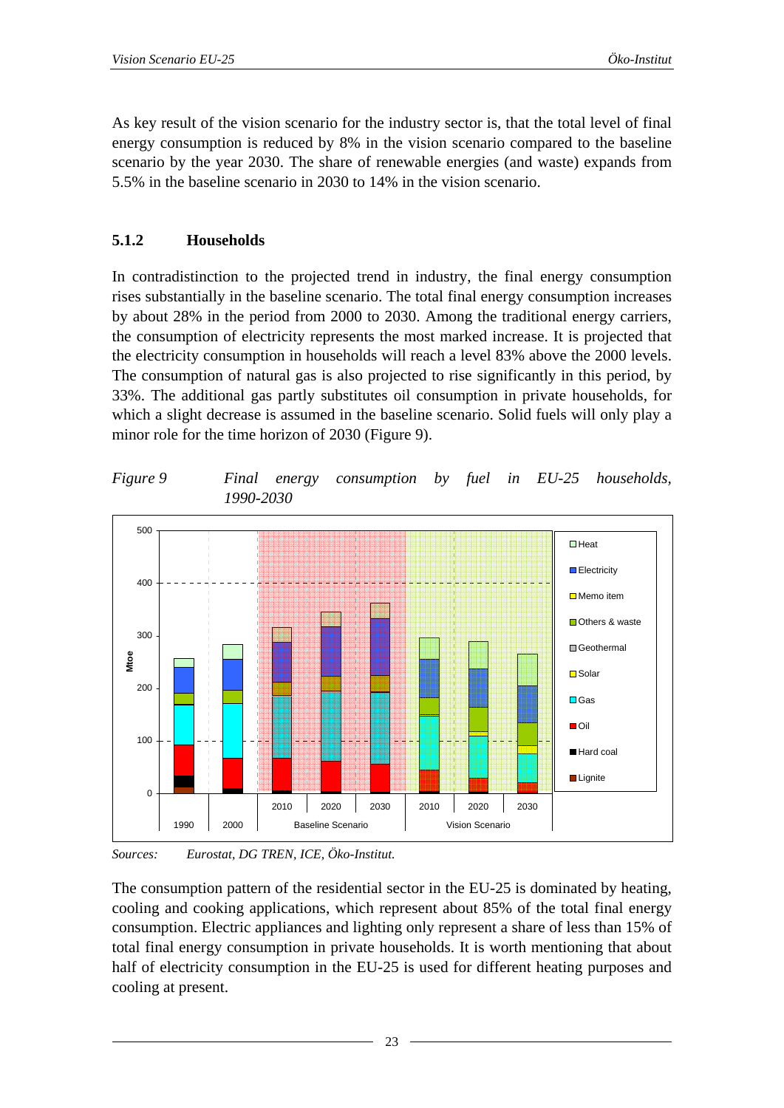<span id="page-22-0"></span>As key result of the vision scenario for the industry sector is, that the total level of final energy consumption is reduced by 8% in the vision scenario compared to the baseline scenario by the year 2030. The share of renewable energies (and waste) expands from 5.5% in the baseline scenario in 2030 to 14% in the vision scenario.

#### **5.1.2 Households**

In contradistinction to the projected trend in industry, the final energy consumption rises substantially in the baseline scenario. The total final energy consumption increases by about 28% in the period from 2000 to 2030. Among the traditional energy carriers, the consumption of electricity represents the most marked increase. It is projected that the electricity consumption in households will reach a level 83% above the 2000 levels. The consumption of natural gas is also projected to rise significantly in this period, by 33%. The additional gas partly substitutes oil consumption in private households, for which a slight decrease is assumed in the baseline scenario. Solid fuels will only play a minor role for the time horizon of 2030 [\(Figure 9](#page-22-1)).

<span id="page-22-1"></span>*Figure 9 Final energy consumption by fuel in EU-25 households, 1990-2030* 



*Sources: Eurostat, DG TREN, ICE, Öko-Institut.* 

The consumption pattern of the residential sector in the EU-25 is dominated by heating, cooling and cooking applications, which represent about 85% of the total final energy consumption. Electric appliances and lighting only represent a share of less than 15% of total final energy consumption in private households. It is worth mentioning that about half of electricity consumption in the EU-25 is used for different heating purposes and cooling at present.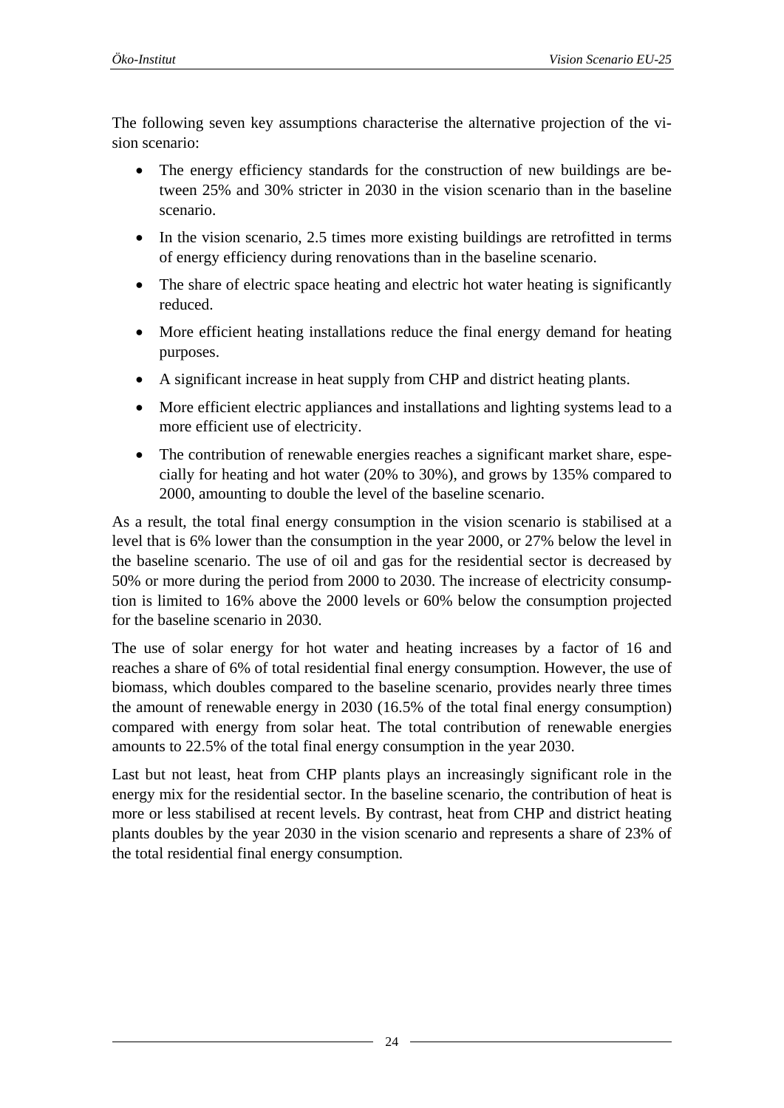The following seven key assumptions characterise the alternative projection of the vision scenario:

- The energy efficiency standards for the construction of new buildings are between 25% and 30% stricter in 2030 in the vision scenario than in the baseline scenario.
- In the vision scenario, 2.5 times more existing buildings are retrofitted in terms of energy efficiency during renovations than in the baseline scenario.
- The share of electric space heating and electric hot water heating is significantly reduced.
- More efficient heating installations reduce the final energy demand for heating purposes.
- A significant increase in heat supply from CHP and district heating plants.
- More efficient electric appliances and installations and lighting systems lead to a more efficient use of electricity.
- The contribution of renewable energies reaches a significant market share, especially for heating and hot water (20% to 30%), and grows by 135% compared to 2000, amounting to double the level of the baseline scenario.

As a result, the total final energy consumption in the vision scenario is stabilised at a level that is 6% lower than the consumption in the year 2000, or 27% below the level in the baseline scenario. The use of oil and gas for the residential sector is decreased by 50% or more during the period from 2000 to 2030. The increase of electricity consumption is limited to 16% above the 2000 levels or 60% below the consumption projected for the baseline scenario in 2030.

The use of solar energy for hot water and heating increases by a factor of 16 and reaches a share of 6% of total residential final energy consumption. However, the use of biomass, which doubles compared to the baseline scenario, provides nearly three times the amount of renewable energy in 2030 (16.5% of the total final energy consumption) compared with energy from solar heat. The total contribution of renewable energies amounts to 22.5% of the total final energy consumption in the year 2030.

Last but not least, heat from CHP plants plays an increasingly significant role in the energy mix for the residential sector. In the baseline scenario, the contribution of heat is more or less stabilised at recent levels. By contrast, heat from CHP and district heating plants doubles by the year 2030 in the vision scenario and represents a share of 23% of the total residential final energy consumption.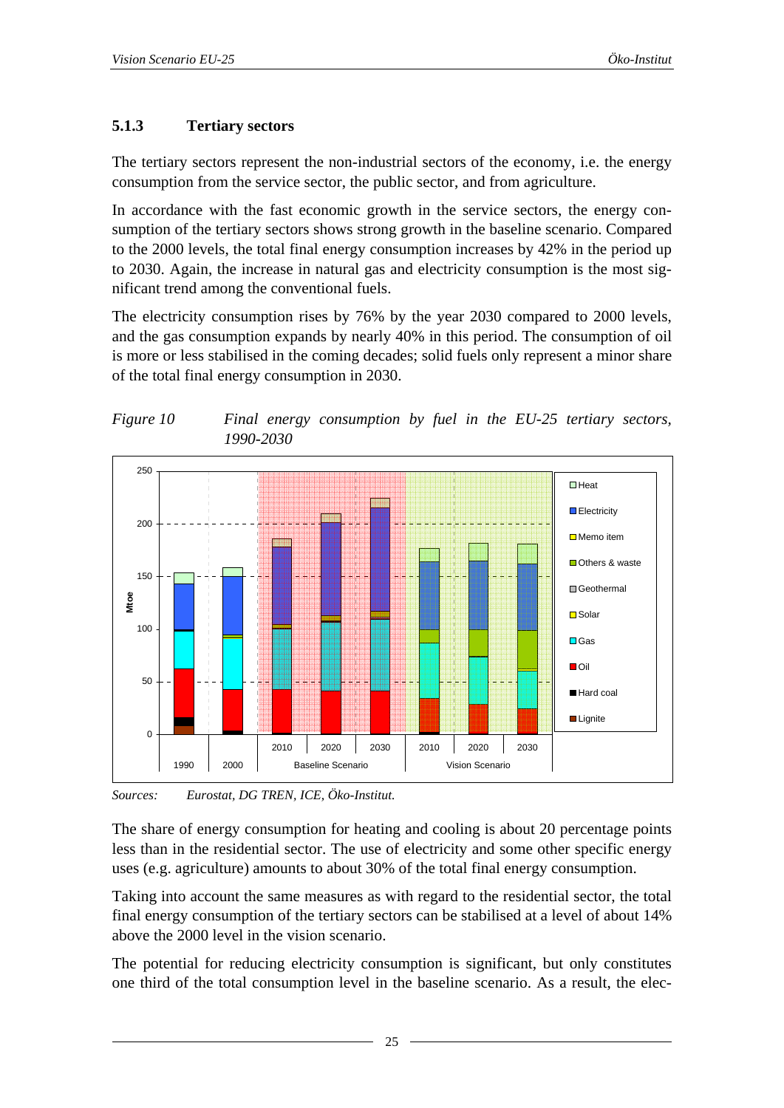# <span id="page-24-0"></span>**5.1.3 Tertiary sectors**

The tertiary sectors represent the non-industrial sectors of the economy, i.e. the energy consumption from the service sector, the public sector, and from agriculture.

In accordance with the fast economic growth in the service sectors, the energy consumption of the tertiary sectors shows strong growth in the baseline scenario. Compared to the 2000 levels, the total final energy consumption increases by 42% in the period up to 2030. Again, the increase in natural gas and electricity consumption is the most significant trend among the conventional fuels.

The electricity consumption rises by 76% by the year 2030 compared to 2000 levels, and the gas consumption expands by nearly 40% in this period. The consumption of oil is more or less stabilised in the coming decades; solid fuels only represent a minor share of the total final energy consumption in 2030.



*Figure 10 Final energy consumption by fuel in the EU-25 tertiary sectors, 1990-2030* 

*Sources: Eurostat, DG TREN, ICE, Öko-Institut.* 

The share of energy consumption for heating and cooling is about 20 percentage points less than in the residential sector. The use of electricity and some other specific energy uses (e.g. agriculture) amounts to about 30% of the total final energy consumption.

Taking into account the same measures as with regard to the residential sector, the total final energy consumption of the tertiary sectors can be stabilised at a level of about 14% above the 2000 level in the vision scenario.

The potential for reducing electricity consumption is significant, but only constitutes one third of the total consumption level in the baseline scenario. As a result, the elec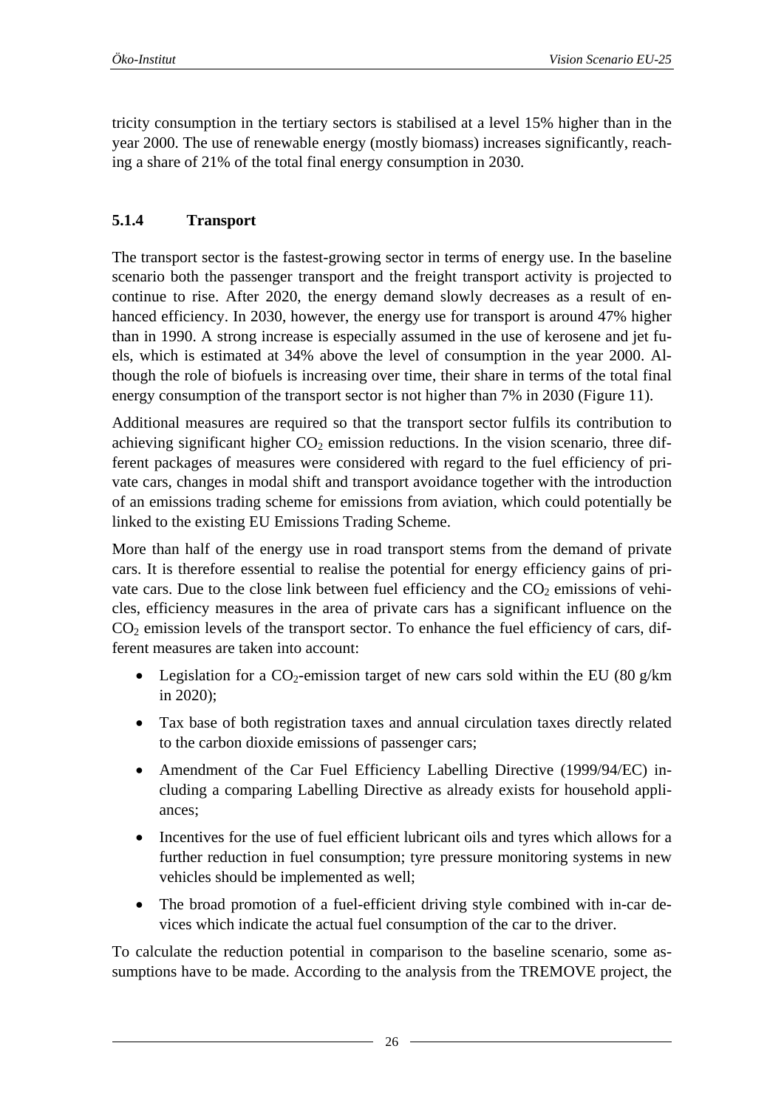<span id="page-25-0"></span>tricity consumption in the tertiary sectors is stabilised at a level 15% higher than in the year 2000. The use of renewable energy (mostly biomass) increases significantly, reaching a share of 21% of the total final energy consumption in 2030.

# **5.1.4 Transport**

The transport sector is the fastest-growing sector in terms of energy use. In the baseline scenario both the passenger transport and the freight transport activity is projected to continue to rise. After 2020, the energy demand slowly decreases as a result of enhanced efficiency. In 2030, however, the energy use for transport is around 47% higher than in 1990. A strong increase is especially assumed in the use of kerosene and jet fuels, which is estimated at 34% above the level of consumption in the year 2000. Although the role of biofuels is increasing over time, their share in terms of the total final energy consumption of the transport sector is not higher than 7% in 2030 [\(Figure 11\)](#page-27-1).

Additional measures are required so that the transport sector fulfils its contribution to achieving significant higher  $CO<sub>2</sub>$  emission reductions. In the vision scenario, three different packages of measures were considered with regard to the fuel efficiency of private cars, changes in modal shift and transport avoidance together with the introduction of an emissions trading scheme for emissions from aviation, which could potentially be linked to the existing EU Emissions Trading Scheme.

More than half of the energy use in road transport stems from the demand of private cars. It is therefore essential to realise the potential for energy efficiency gains of private cars. Due to the close link between fuel efficiency and the  $CO<sub>2</sub>$  emissions of vehicles, efficiency measures in the area of private cars has a significant influence on the  $CO<sub>2</sub>$  emission levels of the transport sector. To enhance the fuel efficiency of cars, different measures are taken into account:

- Legislation for a  $CO_2$ -emission target of new cars sold within the EU (80 g/km) in 2020);
- Tax base of both registration taxes and annual circulation taxes directly related to the carbon dioxide emissions of passenger cars;
- Amendment of the Car Fuel Efficiency Labelling Directive (1999/94/EC) including a comparing Labelling Directive as already exists for household appliances;
- Incentives for the use of fuel efficient lubricant oils and tyres which allows for a further reduction in fuel consumption; tyre pressure monitoring systems in new vehicles should be implemented as well;
- The broad promotion of a fuel-efficient driving style combined with in-car devices which indicate the actual fuel consumption of the car to the driver.

To calculate the reduction potential in comparison to the baseline scenario, some assumptions have to be made. According to the analysis from the TREMOVE project, the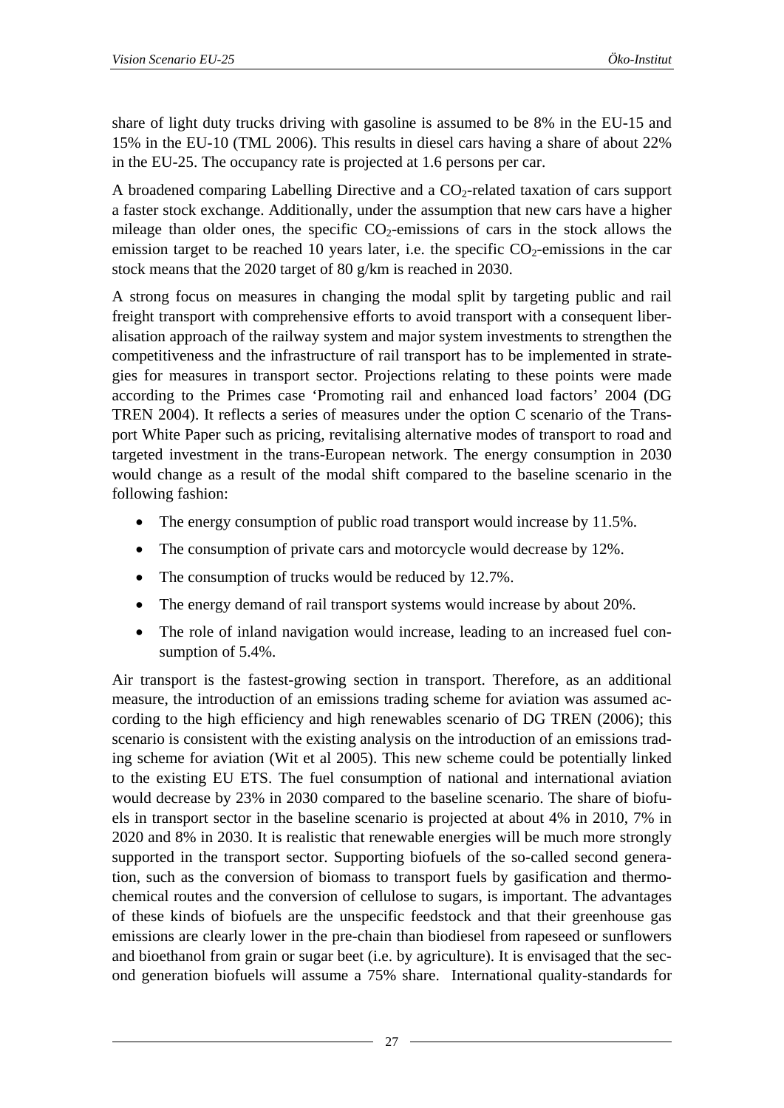share of light duty trucks driving with gasoline is assumed to be 8% in the EU-15 and 15% in the EU-10 (TML 2006). This results in diesel cars having a share of about 22% in the EU-25. The occupancy rate is projected at 1.6 persons per car.

A broadened comparing Labelling Directive and a  $CO<sub>2</sub>$ -related taxation of cars support a faster stock exchange. Additionally, under the assumption that new cars have a higher mileage than older ones, the specific  $CO<sub>2</sub>$ -emissions of cars in the stock allows the emission target to be reached 10 years later, i.e. the specific  $CO<sub>2</sub>$ -emissions in the car stock means that the 2020 target of 80 g/km is reached in 2030.

A strong focus on measures in changing the modal split by targeting public and rail freight transport with comprehensive efforts to avoid transport with a consequent liberalisation approach of the railway system and major system investments to strengthen the competitiveness and the infrastructure of rail transport has to be implemented in strategies for measures in transport sector. Projections relating to these points were made according to the Primes case 'Promoting rail and enhanced load factors' 2004 (DG TREN 2004). It reflects a series of measures under the option C scenario of the Transport White Paper such as pricing, revitalising alternative modes of transport to road and targeted investment in the trans-European network. The energy consumption in 2030 would change as a result of the modal shift compared to the baseline scenario in the following fashion:

- The energy consumption of public road transport would increase by 11.5%.
- The consumption of private cars and motorcycle would decrease by 12%.
- The consumption of trucks would be reduced by 12.7%.
- The energy demand of rail transport systems would increase by about 20%.
- The role of inland navigation would increase, leading to an increased fuel consumption of 5.4%.

Air transport is the fastest-growing section in transport. Therefore, as an additional measure, the introduction of an emissions trading scheme for aviation was assumed according to the high efficiency and high renewables scenario of DG TREN (2006); this scenario is consistent with the existing analysis on the introduction of an emissions trading scheme for aviation (Wit et al 2005). This new scheme could be potentially linked to the existing EU ETS. The fuel consumption of national and international aviation would decrease by 23% in 2030 compared to the baseline scenario. The share of biofuels in transport sector in the baseline scenario is projected at about 4% in 2010, 7% in 2020 and 8% in 2030. It is realistic that renewable energies will be much more strongly supported in the transport sector. Supporting biofuels of the so-called second generation, such as the conversion of biomass to transport fuels by gasification and thermochemical routes and the conversion of cellulose to sugars, is important. The advantages of these kinds of biofuels are the unspecific feedstock and that their greenhouse gas emissions are clearly lower in the pre-chain than biodiesel from rapeseed or sunflowers and bioethanol from grain or sugar beet (i.e. by agriculture). It is envisaged that the second generation biofuels will assume a 75% share. International quality-standards for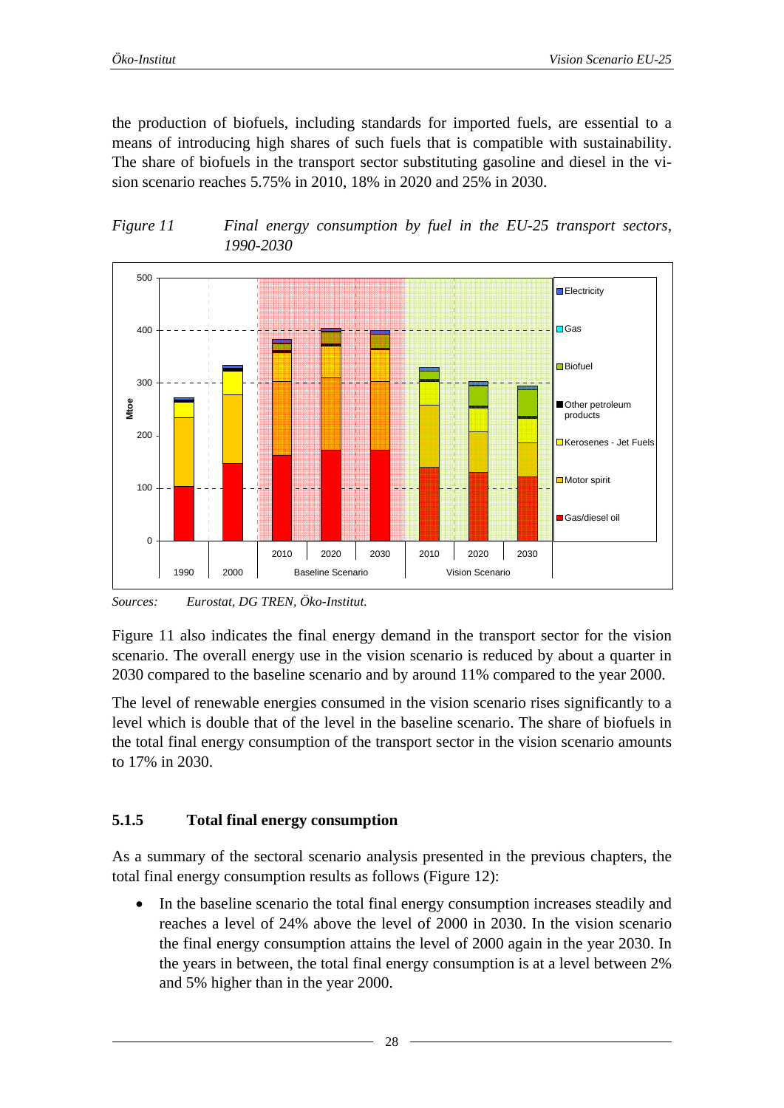<span id="page-27-0"></span>the production of biofuels, including standards for imported fuels, are essential to a means of introducing high shares of such fuels that is compatible with sustainability. The share of biofuels in the transport sector substituting gasoline and diesel in the vision scenario reaches 5.75% in 2010, 18% in 2020 and 25% in 2030.

<span id="page-27-1"></span>



*Sources: Eurostat, DG TREN, Öko-Institut.* 

[Figure 11](#page-27-1) also indicates the final energy demand in the transport sector for the vision scenario. The overall energy use in the vision scenario is reduced by about a quarter in 2030 compared to the baseline scenario and by around 11% compared to the year 2000.

The level of renewable energies consumed in the vision scenario rises significantly to a level which is double that of the level in the baseline scenario. The share of biofuels in the total final energy consumption of the transport sector in the vision scenario amounts to 17% in 2030.

#### **5.1.5 Total final energy consumption**

As a summary of the sectoral scenario analysis presented in the previous chapters, the total final energy consumption results as follows ([Figure 12](#page-28-1)):

In the baseline scenario the total final energy consumption increases steadily and reaches a level of 24% above the level of 2000 in 2030. In the vision scenario the final energy consumption attains the level of 2000 again in the year 2030. In the years in between, the total final energy consumption is at a level between 2% and 5% higher than in the year 2000.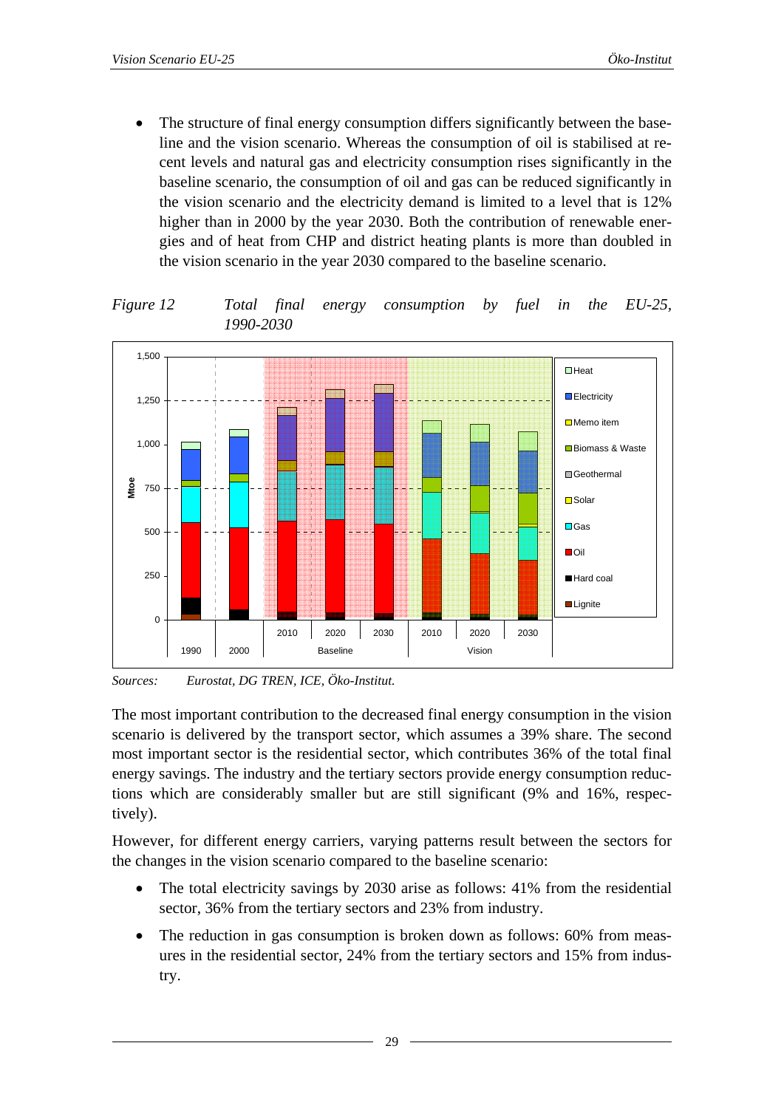<span id="page-28-0"></span>The structure of final energy consumption differs significantly between the baseline and the vision scenario. Whereas the consumption of oil is stabilised at recent levels and natural gas and electricity consumption rises significantly in the baseline scenario, the consumption of oil and gas can be reduced significantly in the vision scenario and the electricity demand is limited to a level that is 12% higher than in 2000 by the year 2030. Both the contribution of renewable energies and of heat from CHP and district heating plants is more than doubled in the vision scenario in the year 2030 compared to the baseline scenario.

<span id="page-28-1"></span>*Figure 12 Total final energy consumption by fuel in the EU-25, 1990-2030* 



*Sources: Eurostat, DG TREN, ICE, Öko-Institut.* 

The most important contribution to the decreased final energy consumption in the vision scenario is delivered by the transport sector, which assumes a 39% share. The second most important sector is the residential sector, which contributes 36% of the total final energy savings. The industry and the tertiary sectors provide energy consumption reductions which are considerably smaller but are still significant (9% and 16%, respectively).

However, for different energy carriers, varying patterns result between the sectors for the changes in the vision scenario compared to the baseline scenario:

- The total electricity savings by 2030 arise as follows: 41% from the residential sector, 36% from the tertiary sectors and 23% from industry.
- The reduction in gas consumption is broken down as follows: 60% from measures in the residential sector, 24% from the tertiary sectors and 15% from industry.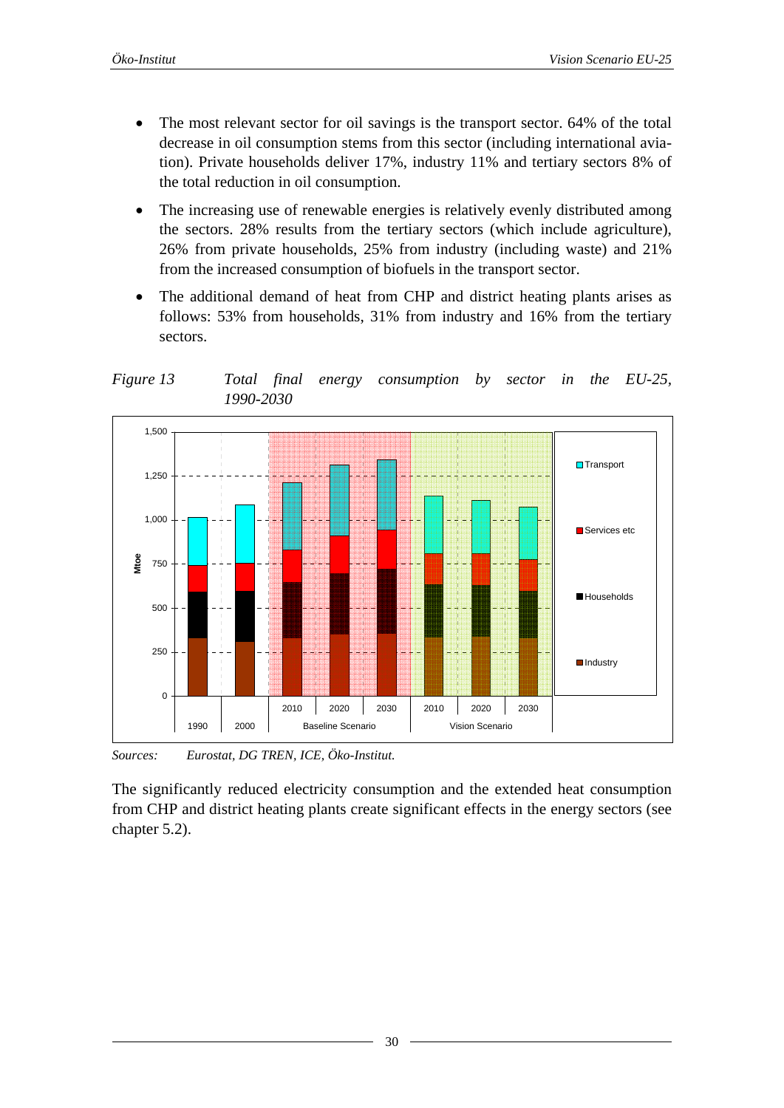- <span id="page-29-0"></span>The most relevant sector for oil savings is the transport sector. 64% of the total decrease in oil consumption stems from this sector (including international aviation). Private households deliver 17%, industry 11% and tertiary sectors 8% of the total reduction in oil consumption.
- The increasing use of renewable energies is relatively evenly distributed among the sectors. 28% results from the tertiary sectors (which include agriculture), 26% from private households, 25% from industry (including waste) and 21% from the increased consumption of biofuels in the transport sector.
- The additional demand of heat from CHP and district heating plants arises as follows: 53% from households, 31% from industry and 16% from the tertiary sectors.

*Figure 13 Total final energy consumption by sector in the EU-25, 1990-2030* 



*Sources: Eurostat, DG TREN, ICE, Öko-Institut.* 

The significantly reduced electricity consumption and the extended heat consumption from CHP and district heating plants create significant effects in the energy sectors (see chapter [5.2](#page-30-1)).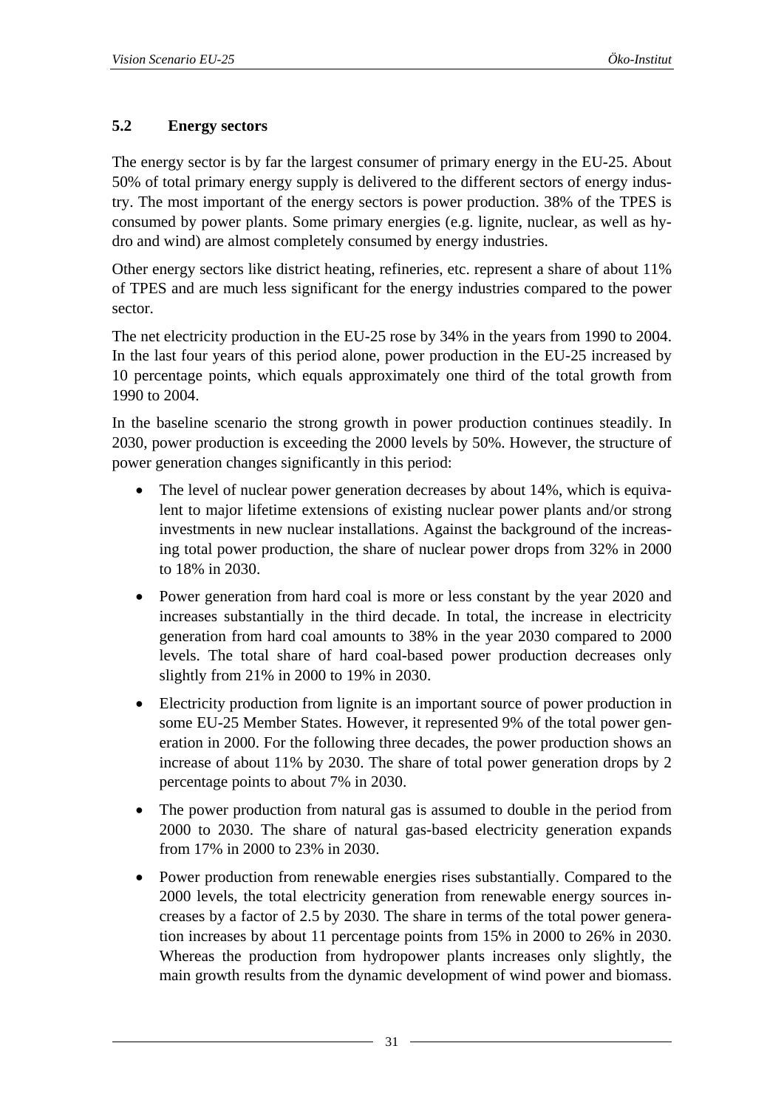#### <span id="page-30-1"></span><span id="page-30-0"></span>**5.2 Energy sectors**

The energy sector is by far the largest consumer of primary energy in the EU-25. About 50% of total primary energy supply is delivered to the different sectors of energy industry. The most important of the energy sectors is power production. 38% of the TPES is consumed by power plants. Some primary energies (e.g. lignite, nuclear, as well as hydro and wind) are almost completely consumed by energy industries.

Other energy sectors like district heating, refineries, etc. represent a share of about 11% of TPES and are much less significant for the energy industries compared to the power sector.

The net electricity production in the EU-25 rose by 34% in the years from 1990 to 2004. In the last four years of this period alone, power production in the EU-25 increased by 10 percentage points, which equals approximately one third of the total growth from 1990 to 2004.

In the baseline scenario the strong growth in power production continues steadily. In 2030, power production is exceeding the 2000 levels by 50%. However, the structure of power generation changes significantly in this period:

- The level of nuclear power generation decreases by about 14%, which is equivalent to major lifetime extensions of existing nuclear power plants and/or strong investments in new nuclear installations. Against the background of the increasing total power production, the share of nuclear power drops from 32% in 2000 to 18% in 2030.
- Power generation from hard coal is more or less constant by the year 2020 and increases substantially in the third decade. In total, the increase in electricity generation from hard coal amounts to 38% in the year 2030 compared to 2000 levels. The total share of hard coal-based power production decreases only slightly from 21% in 2000 to 19% in 2030.
- Electricity production from lignite is an important source of power production in some EU-25 Member States. However, it represented 9% of the total power generation in 2000. For the following three decades, the power production shows an increase of about 11% by 2030. The share of total power generation drops by 2 percentage points to about 7% in 2030.
- The power production from natural gas is assumed to double in the period from 2000 to 2030. The share of natural gas-based electricity generation expands from 17% in 2000 to 23% in 2030.
- Power production from renewable energies rises substantially. Compared to the 2000 levels, the total electricity generation from renewable energy sources increases by a factor of 2.5 by 2030. The share in terms of the total power generation increases by about 11 percentage points from 15% in 2000 to 26% in 2030. Whereas the production from hydropower plants increases only slightly, the main growth results from the dynamic development of wind power and biomass.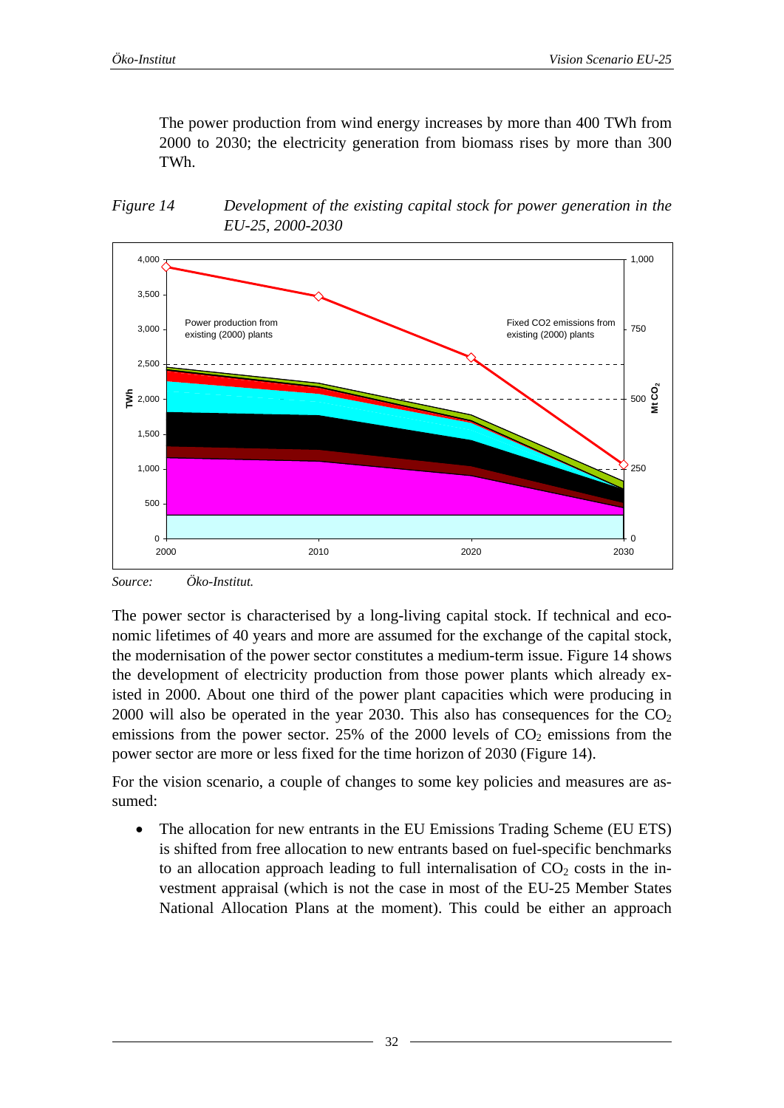<span id="page-31-0"></span>The power production from wind energy increases by more than 400 TWh from 2000 to 2030; the electricity generation from biomass rises by more than 300 TWh.

<span id="page-31-1"></span>



*Source: Öko-Institut.* 

The power sector is characterised by a long-living capital stock. If technical and economic lifetimes of 40 years and more are assumed for the exchange of the capital stock, the modernisation of the power sector constitutes a medium-term issue. [Figure 14](#page-31-1) shows the development of electricity production from those power plants which already existed in 2000. About one third of the power plant capacities which were producing in 2000 will also be operated in the year 2030. This also has consequences for the  $CO<sub>2</sub>$ emissions from the power sector. 25% of the 2000 levels of  $CO<sub>2</sub>$  emissions from the power sector are more or less fixed for the time horizon of 2030 ([Figure 14\)](#page-31-1).

For the vision scenario, a couple of changes to some key policies and measures are assumed:

• The allocation for new entrants in the EU Emissions Trading Scheme (EU ETS) is shifted from free allocation to new entrants based on fuel-specific benchmarks to an allocation approach leading to full internalisation of  $CO<sub>2</sub>$  costs in the investment appraisal (which is not the case in most of the EU-25 Member States National Allocation Plans at the moment). This could be either an approach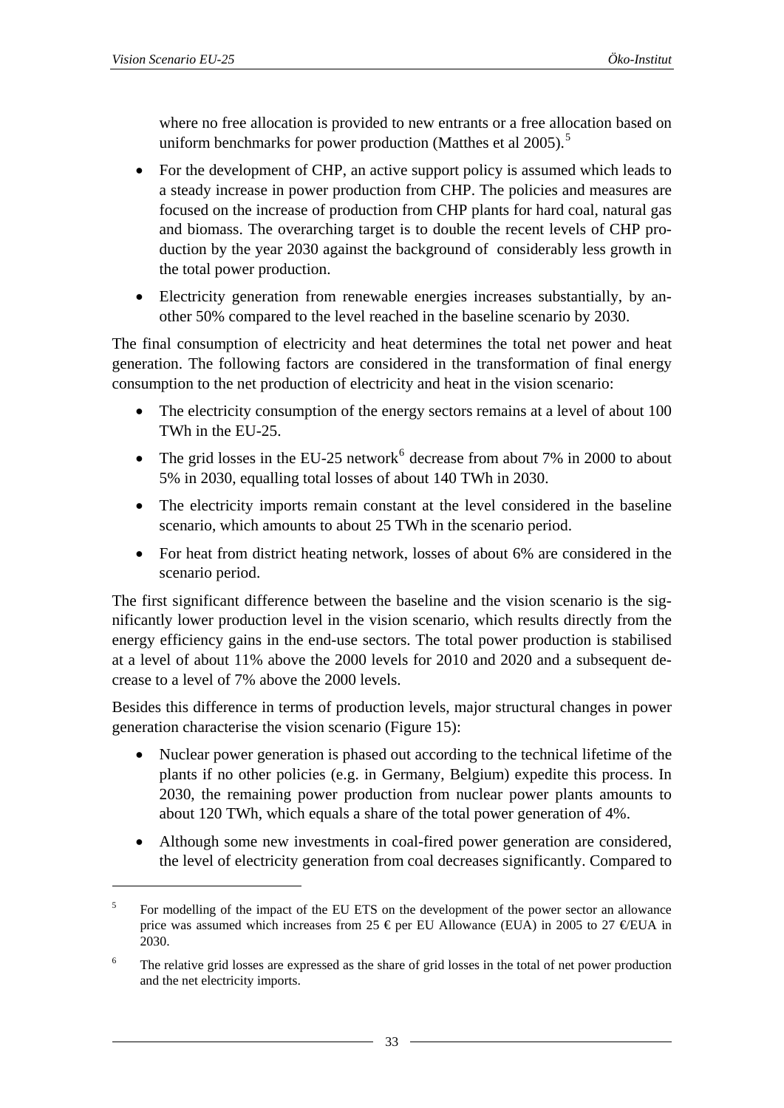1

<span id="page-32-0"></span>where no free allocation is provided to new entrants or a free allocation based on uniform benchmarks for power production (Matthes et al  $2005$  $2005$ ).<sup>5</sup>

- For the development of CHP, an active support policy is assumed which leads to a steady increase in power production from CHP. The policies and measures are focused on the increase of production from CHP plants for hard coal, natural gas and biomass. The overarching target is to double the recent levels of CHP production by the year 2030 against the background of considerably less growth in the total power production.
- Electricity generation from renewable energies increases substantially, by another 50% compared to the level reached in the baseline scenario by 2030.

The final consumption of electricity and heat determines the total net power and heat generation. The following factors are considered in the transformation of final energy consumption to the net production of electricity and heat in the vision scenario:

- The electricity consumption of the energy sectors remains at a level of about 100 TWh in the EU-25.
- The grid losses in the EU-25 network<sup>[6](#page-32-0)</sup> decrease from about 7% in 2000 to about 5% in 2030, equalling total losses of about 140 TWh in 2030.
- The electricity imports remain constant at the level considered in the baseline scenario, which amounts to about 25 TWh in the scenario period.
- For heat from district heating network, losses of about 6% are considered in the scenario period.

The first significant difference between the baseline and the vision scenario is the significantly lower production level in the vision scenario, which results directly from the energy efficiency gains in the end-use sectors. The total power production is stabilised at a level of about 11% above the 2000 levels for 2010 and 2020 and a subsequent decrease to a level of 7% above the 2000 levels.

Besides this difference in terms of production levels, major structural changes in power generation characterise the vision scenario ([Figure 15\)](#page-33-1):

- Nuclear power generation is phased out according to the technical lifetime of the plants if no other policies (e.g. in Germany, Belgium) expedite this process. In 2030, the remaining power production from nuclear power plants amounts to about 120 TWh, which equals a share of the total power generation of 4%.
- Although some new investments in coal-fired power generation are considered, the level of electricity generation from coal decreases significantly. Compared to

<sup>5</sup> For modelling of the impact of the EU ETS on the development of the power sector an allowance price was assumed which increases from 25  $\epsilon$  per EU Allowance (EUA) in 2005 to 27  $\epsilon$ EUA in 2030.

<sup>6</sup> The relative grid losses are expressed as the share of grid losses in the total of net power production and the net electricity imports.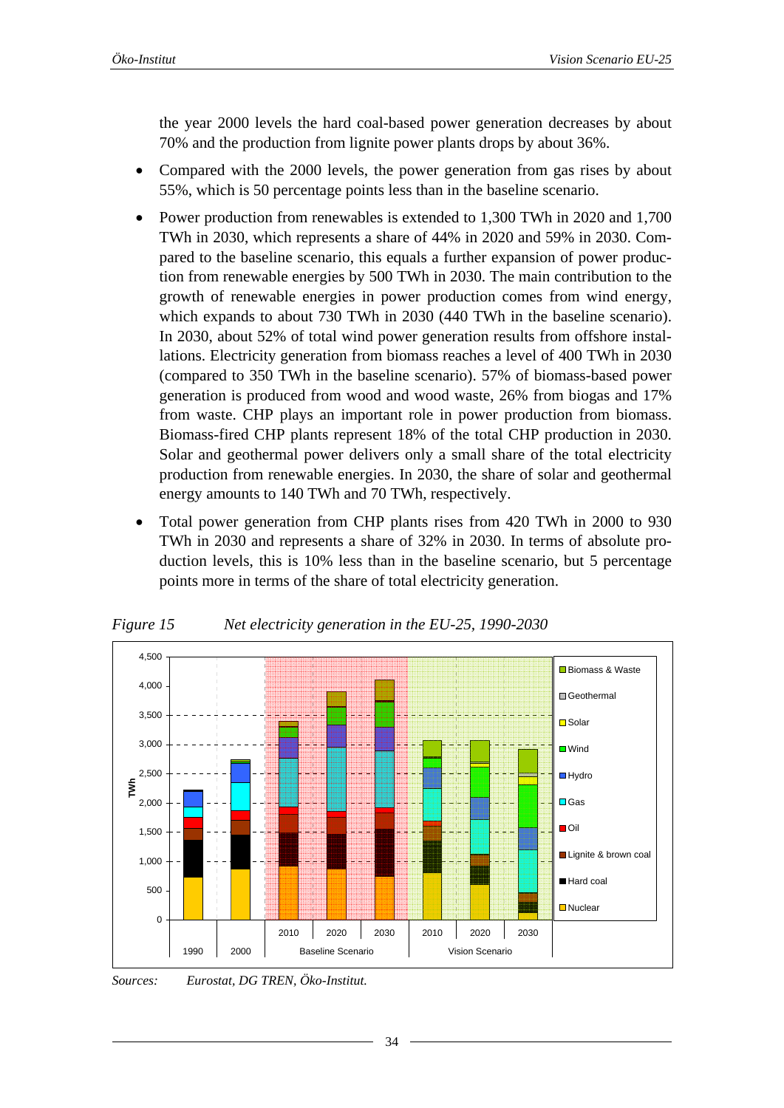<span id="page-33-0"></span>the year 2000 levels the hard coal-based power generation decreases by about 70% and the production from lignite power plants drops by about 36%.

- Compared with the 2000 levels, the power generation from gas rises by about 55%, which is 50 percentage points less than in the baseline scenario.
- Power production from renewables is extended to 1,300 TWh in 2020 and 1,700 TWh in 2030, which represents a share of 44% in 2020 and 59% in 2030. Compared to the baseline scenario, this equals a further expansion of power production from renewable energies by 500 TWh in 2030. The main contribution to the growth of renewable energies in power production comes from wind energy, which expands to about 730 TWh in 2030 (440 TWh in the baseline scenario). In 2030, about 52% of total wind power generation results from offshore installations. Electricity generation from biomass reaches a level of 400 TWh in 2030 (compared to 350 TWh in the baseline scenario). 57% of biomass-based power generation is produced from wood and wood waste, 26% from biogas and 17% from waste. CHP plays an important role in power production from biomass. Biomass-fired CHP plants represent 18% of the total CHP production in 2030. Solar and geothermal power delivers only a small share of the total electricity production from renewable energies. In 2030, the share of solar and geothermal energy amounts to 140 TWh and 70 TWh, respectively.
- Total power generation from CHP plants rises from 420 TWh in 2000 to 930 TWh in 2030 and represents a share of 32% in 2030. In terms of absolute production levels, this is 10% less than in the baseline scenario, but 5 percentage points more in terms of the share of total electricity generation.

<span id="page-33-1"></span>

*Figure 15 Net electricity generation in the EU-25, 1990-2030* 

*Sources: Eurostat, DG TREN, Öko-Institut.*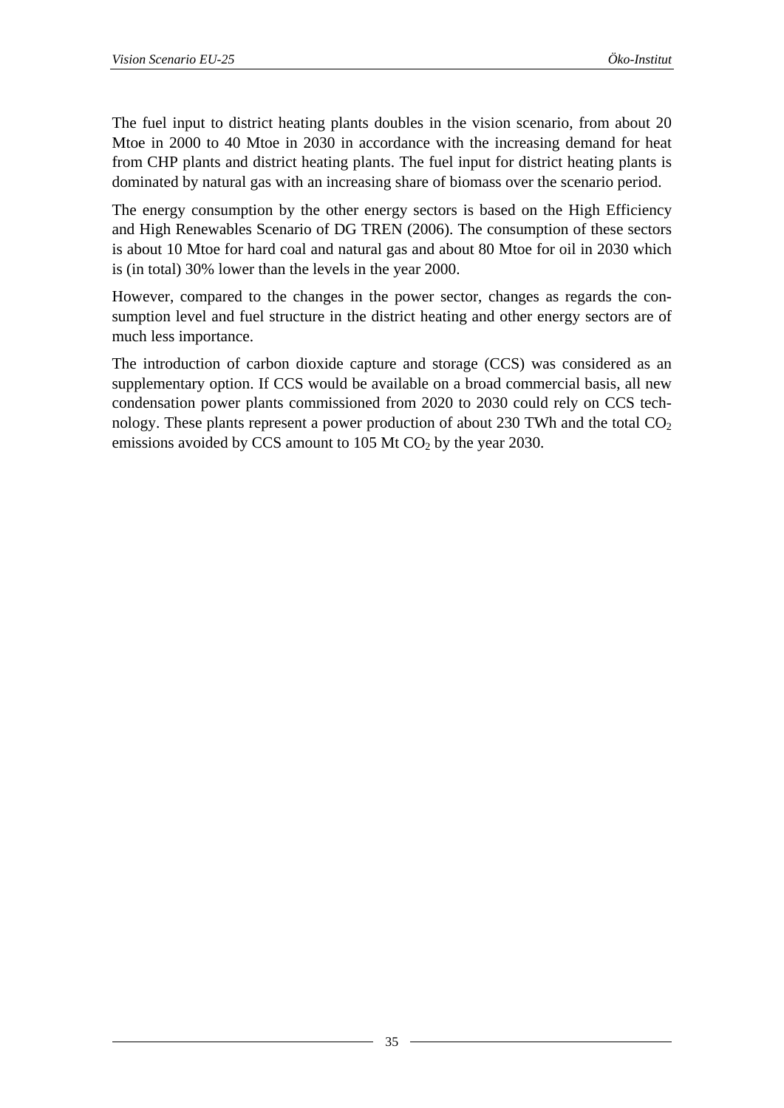The fuel input to district heating plants doubles in the vision scenario, from about 20 Mtoe in 2000 to 40 Mtoe in 2030 in accordance with the increasing demand for heat from CHP plants and district heating plants. The fuel input for district heating plants is dominated by natural gas with an increasing share of biomass over the scenario period.

The energy consumption by the other energy sectors is based on the High Efficiency and High Renewables Scenario of DG TREN (2006). The consumption of these sectors is about 10 Mtoe for hard coal and natural gas and about 80 Mtoe for oil in 2030 which is (in total) 30% lower than the levels in the year 2000.

However, compared to the changes in the power sector, changes as regards the consumption level and fuel structure in the district heating and other energy sectors are of much less importance.

The introduction of carbon dioxide capture and storage (CCS) was considered as an supplementary option. If CCS would be available on a broad commercial basis, all new condensation power plants commissioned from 2020 to 2030 could rely on CCS technology. These plants represent a power production of about 230 TWh and the total  $CO<sub>2</sub>$ emissions avoided by CCS amount to  $105$  Mt CO<sub>2</sub> by the year 2030.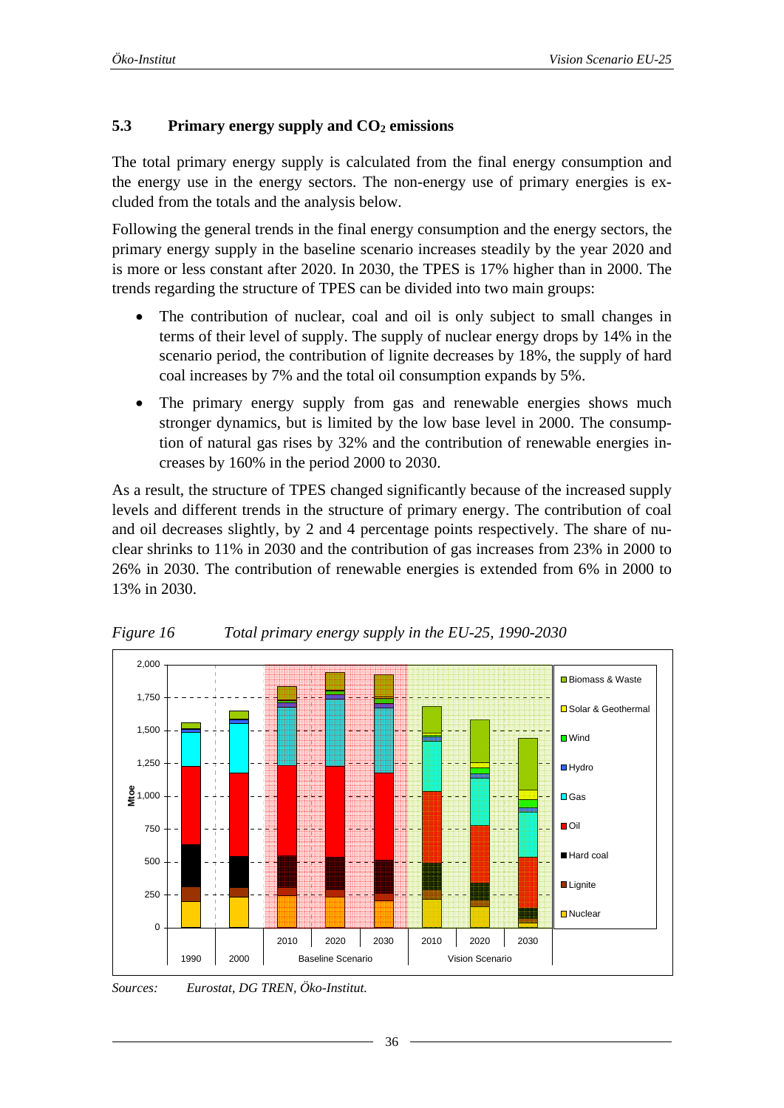#### <span id="page-35-0"></span>**5.3** Primary energy supply and  $CO<sub>2</sub>$  emissions

The total primary energy supply is calculated from the final energy consumption and the energy use in the energy sectors. The non-energy use of primary energies is excluded from the totals and the analysis below.

Following the general trends in the final energy consumption and the energy sectors, the primary energy supply in the baseline scenario increases steadily by the year 2020 and is more or less constant after 2020. In 2030, the TPES is 17% higher than in 2000. The trends regarding the structure of TPES can be divided into two main groups:

- The contribution of nuclear, coal and oil is only subject to small changes in terms of their level of supply. The supply of nuclear energy drops by 14% in the scenario period, the contribution of lignite decreases by 18%, the supply of hard coal increases by 7% and the total oil consumption expands by 5%.
- The primary energy supply from gas and renewable energies shows much stronger dynamics, but is limited by the low base level in 2000. The consumption of natural gas rises by 32% and the contribution of renewable energies increases by 160% in the period 2000 to 2030.

As a result, the structure of TPES changed significantly because of the increased supply levels and different trends in the structure of primary energy. The contribution of coal and oil decreases slightly, by 2 and 4 percentage points respectively. The share of nuclear shrinks to 11% in 2030 and the contribution of gas increases from 23% in 2000 to 26% in 2030. The contribution of renewable energies is extended from 6% in 2000 to 13% in 2030.



*Figure 16 Total primary energy supply in the EU-25, 1990-2030* 

*Sources: Eurostat, DG TREN, Öko-Institut.*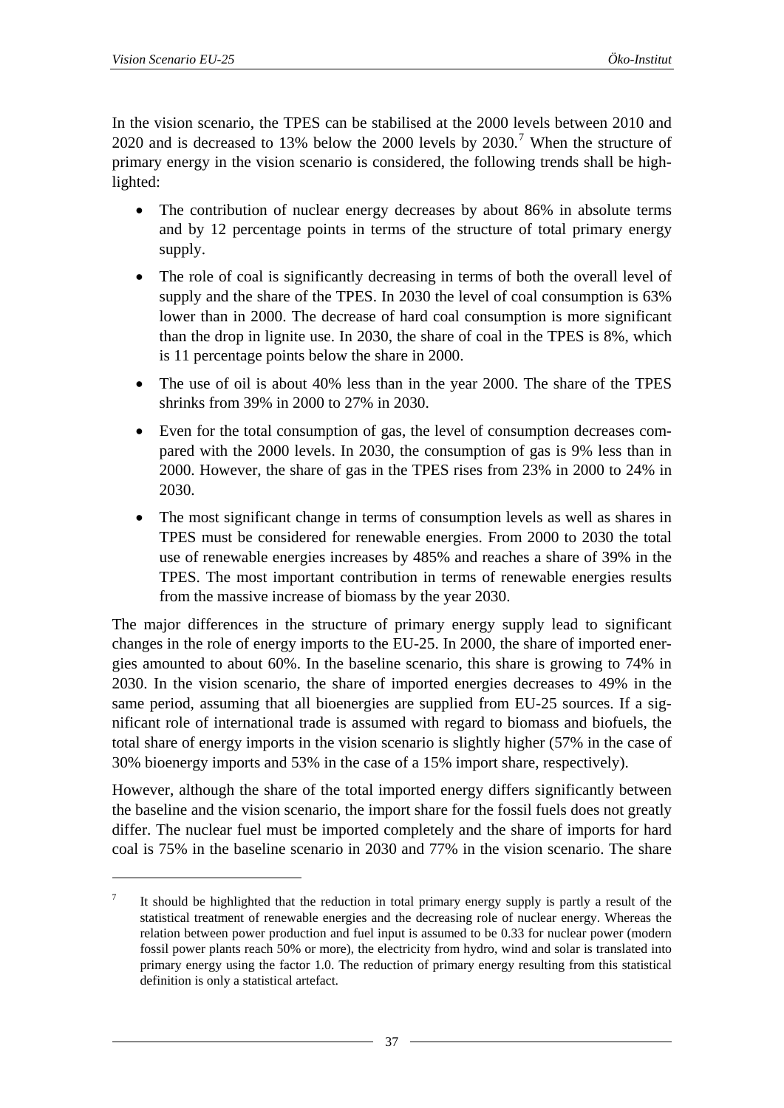1

<span id="page-36-0"></span>In the vision scenario, the TPES can be stabilised at the 2000 levels between 2010 and 2020 and is decreased to 13% below the 2000 levels by  $2030$ .<sup>[7](#page-36-0)</sup> When the structure of primary energy in the vision scenario is considered, the following trends shall be highlighted:

- The contribution of nuclear energy decreases by about 86% in absolute terms and by 12 percentage points in terms of the structure of total primary energy supply.
- The role of coal is significantly decreasing in terms of both the overall level of supply and the share of the TPES. In 2030 the level of coal consumption is 63% lower than in 2000. The decrease of hard coal consumption is more significant than the drop in lignite use. In 2030, the share of coal in the TPES is 8%, which is 11 percentage points below the share in 2000.
- The use of oil is about 40% less than in the year 2000. The share of the TPES shrinks from 39% in 2000 to 27% in 2030.
- Even for the total consumption of gas, the level of consumption decreases compared with the 2000 levels. In 2030, the consumption of gas is 9% less than in 2000. However, the share of gas in the TPES rises from 23% in 2000 to 24% in 2030.
- The most significant change in terms of consumption levels as well as shares in TPES must be considered for renewable energies. From 2000 to 2030 the total use of renewable energies increases by 485% and reaches a share of 39% in the TPES. The most important contribution in terms of renewable energies results from the massive increase of biomass by the year 2030.

The major differences in the structure of primary energy supply lead to significant changes in the role of energy imports to the EU-25. In 2000, the share of imported energies amounted to about 60%. In the baseline scenario, this share is growing to 74% in 2030. In the vision scenario, the share of imported energies decreases to 49% in the same period, assuming that all bioenergies are supplied from EU-25 sources. If a significant role of international trade is assumed with regard to biomass and biofuels, the total share of energy imports in the vision scenario is slightly higher (57% in the case of 30% bioenergy imports and 53% in the case of a 15% import share, respectively).

However, although the share of the total imported energy differs significantly between the baseline and the vision scenario, the import share for the fossil fuels does not greatly differ. The nuclear fuel must be imported completely and the share of imports for hard coal is 75% in the baseline scenario in 2030 and 77% in the vision scenario. The share

<sup>7</sup> It should be highlighted that the reduction in total primary energy supply is partly a result of the statistical treatment of renewable energies and the decreasing role of nuclear energy. Whereas the relation between power production and fuel input is assumed to be 0.33 for nuclear power (modern fossil power plants reach 50% or more), the electricity from hydro, wind and solar is translated into primary energy using the factor 1.0. The reduction of primary energy resulting from this statistical definition is only a statistical artefact.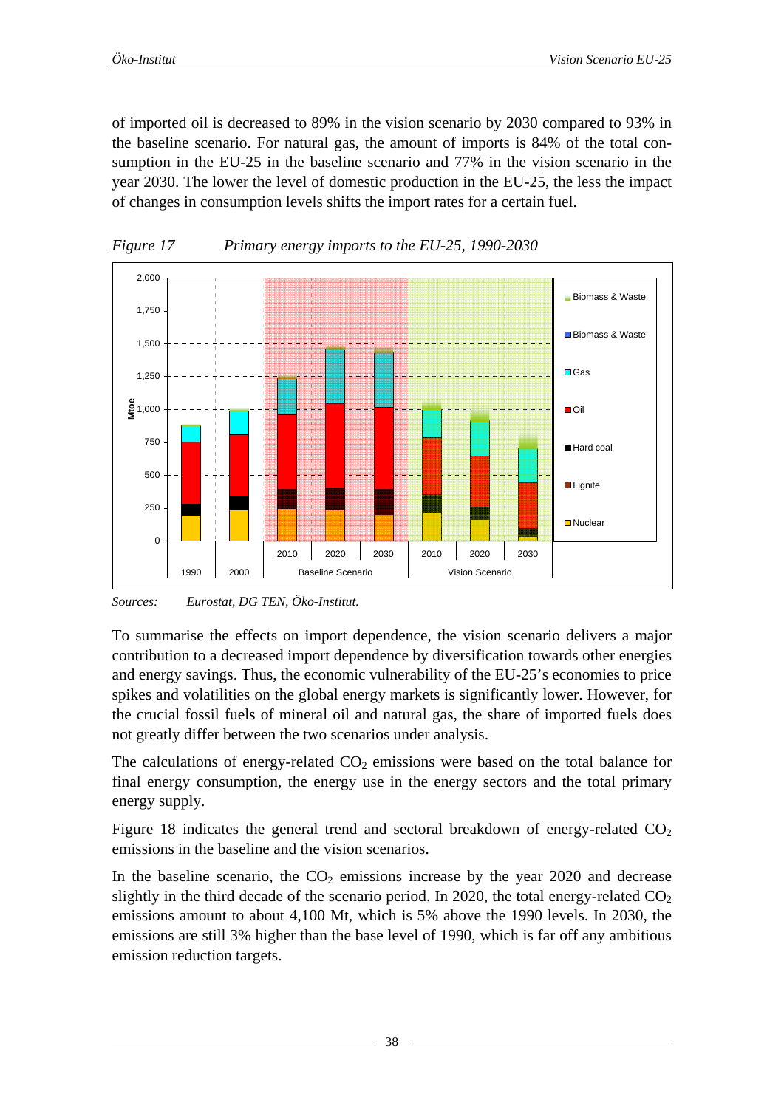<span id="page-37-0"></span>of imported oil is decreased to 89% in the vision scenario by 2030 compared to 93% in the baseline scenario. For natural gas, the amount of imports is 84% of the total consumption in the EU-25 in the baseline scenario and 77% in the vision scenario in the year 2030. The lower the level of domestic production in the EU-25, the less the impact of changes in consumption levels shifts the import rates for a certain fuel.



*Figure 17 Primary energy imports to the EU-25, 1990-2030* 

*Sources: Eurostat, DG TEN, Öko-Institut.* 

To summarise the effects on import dependence, the vision scenario delivers a major contribution to a decreased import dependence by diversification towards other energies and energy savings. Thus, the economic vulnerability of the EU-25's economies to price spikes and volatilities on the global energy markets is significantly lower. However, for the crucial fossil fuels of mineral oil and natural gas, the share of imported fuels does not greatly differ between the two scenarios under analysis.

The calculations of energy-related  $CO<sub>2</sub>$  emissions were based on the total balance for final energy consumption, the energy use in the energy sectors and the total primary energy supply.

[Figure 18](#page-38-1) indicates the general trend and sectoral breakdown of energy-related  $CO<sub>2</sub>$ emissions in the baseline and the vision scenarios.

In the baseline scenario, the  $CO<sub>2</sub>$  emissions increase by the year 2020 and decrease slightly in the third decade of the scenario period. In 2020, the total energy-related  $CO<sub>2</sub>$ emissions amount to about 4,100 Mt, which is 5% above the 1990 levels. In 2030, the emissions are still 3% higher than the base level of 1990, which is far off any ambitious emission reduction targets.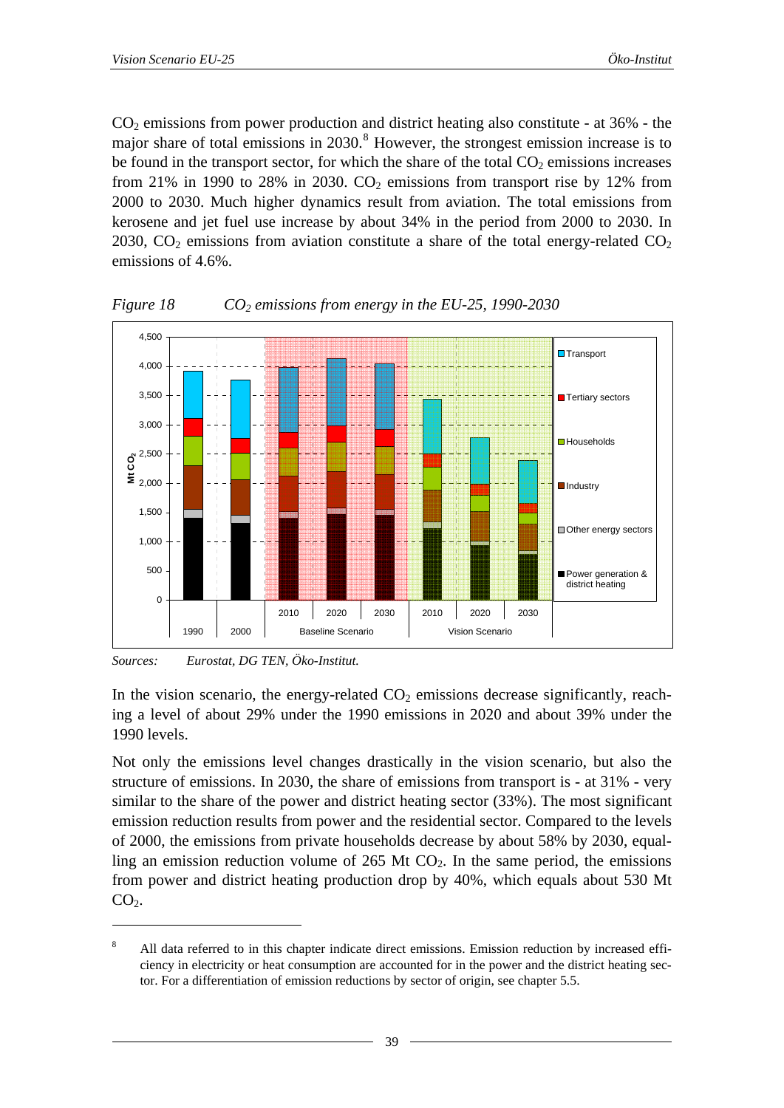<span id="page-38-0"></span> $CO<sub>2</sub>$  emissions from power production and district heating also constitute - at 36% - the major share of total emissions in  $2030$ .<sup>[8](#page-38-0)</sup> However, the strongest emission increase is to be found in the transport sector, for which the share of the total  $CO<sub>2</sub>$  emissions increases from 21% in 1990 to 28% in 2030.  $CO<sub>2</sub>$  emissions from transport rise by 12% from 2000 to 2030. Much higher dynamics result from aviation. The total emissions from kerosene and jet fuel use increase by about 34% in the period from 2000 to 2030. In 2030,  $CO<sub>2</sub>$  emissions from aviation constitute a share of the total energy-related  $CO<sub>2</sub>$ emissions of 4.6%.



<span id="page-38-1"></span>*Figure 18 CO2 emissions from energy in the EU-25, 1990-2030* 

*Sources: Eurostat, DG TEN, Öko-Institut.* 

1

In the vision scenario, the energy-related  $CO<sub>2</sub>$  emissions decrease significantly, reaching a level of about 29% under the 1990 emissions in 2020 and about 39% under the 1990 levels.

Not only the emissions level changes drastically in the vision scenario, but also the structure of emissions. In 2030, the share of emissions from transport is - at 31% - very similar to the share of the power and district heating sector (33%). The most significant emission reduction results from power and the residential sector. Compared to the levels of 2000, the emissions from private households decrease by about 58% by 2030, equalling an emission reduction volume of  $265$  Mt  $CO<sub>2</sub>$ . In the same period, the emissions from power and district heating production drop by 40%, which equals about 530 Mt  $CO<sub>2</sub>$ .

<sup>8</sup> All data referred to in this chapter indicate direct emissions. Emission reduction by increased efficiency in electricity or heat consumption are accounted for in the power and the district heating sector. For a differentiation of emission reductions by sector of origin, see chapter 5.5.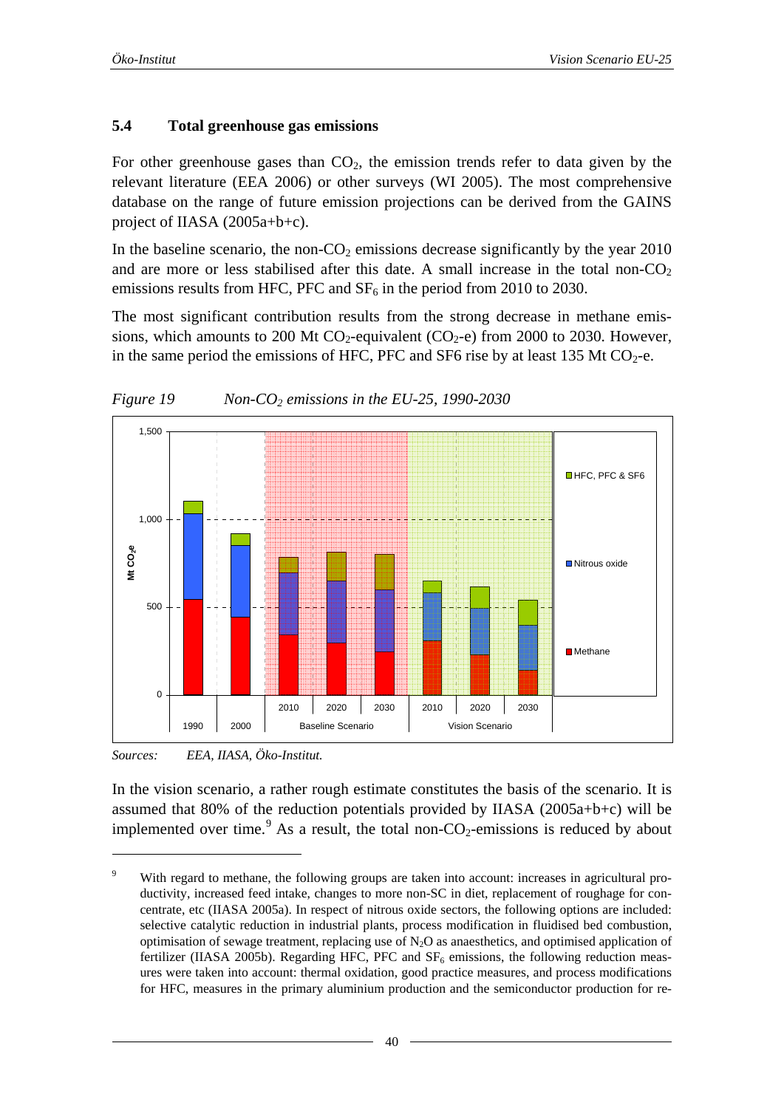#### <span id="page-39-0"></span>**5.4 Total greenhouse gas emissions**

For other greenhouse gases than  $CO<sub>2</sub>$ , the emission trends refer to data given by the relevant literature (EEA 2006) or other surveys (WI 2005). The most comprehensive database on the range of future emission projections can be derived from the GAINS project of IIASA (2005a+b+c).

In the baseline scenario, the non- $CO<sub>2</sub>$  emissions decrease significantly by the year 2010 and are more or less stabilised after this date. A small increase in the total non- $CO<sub>2</sub>$ emissions results from HFC, PFC and  $SF<sub>6</sub>$  in the period from 2010 to 2030.

The most significant contribution results from the strong decrease in methane emissions, which amounts to 200 Mt  $CO_2$ -equivalent ( $CO_2$ -e) from 2000 to 2030. However, in the same period the emissions of HFC, PFC and SF6 rise by at least 135 Mt  $CO_2$ -e.



*Figure 19 Non-CO2 emissions in the EU-25, 1990-2030* 

*Sources: EEA, IIASA, Öko-Institut.* 

1

In the vision scenario, a rather rough estimate constitutes the basis of the scenario. It is assumed that 80% of the reduction potentials provided by IIASA (2005a+b+c) will be implemented over time.<sup>[9](#page-39-0)</sup> As a result, the total non- $CO_2$ -emissions is reduced by about

 $\overline{9}$ With regard to methane, the following groups are taken into account: increases in agricultural productivity, increased feed intake, changes to more non-SC in diet, replacement of roughage for concentrate, etc (IIASA 2005a). In respect of nitrous oxide sectors, the following options are included: selective catalytic reduction in industrial plants, process modification in fluidised bed combustion, optimisation of sewage treatment, replacing use of  $N<sub>2</sub>O$  as anaesthetics, and optimised application of fertilizer (IIASA 2005b). Regarding HFC, PFC and  $SF<sub>6</sub>$  emissions, the following reduction measures were taken into account: thermal oxidation, good practice measures, and process modifications for HFC, measures in the primary aluminium production and the semiconductor production for re-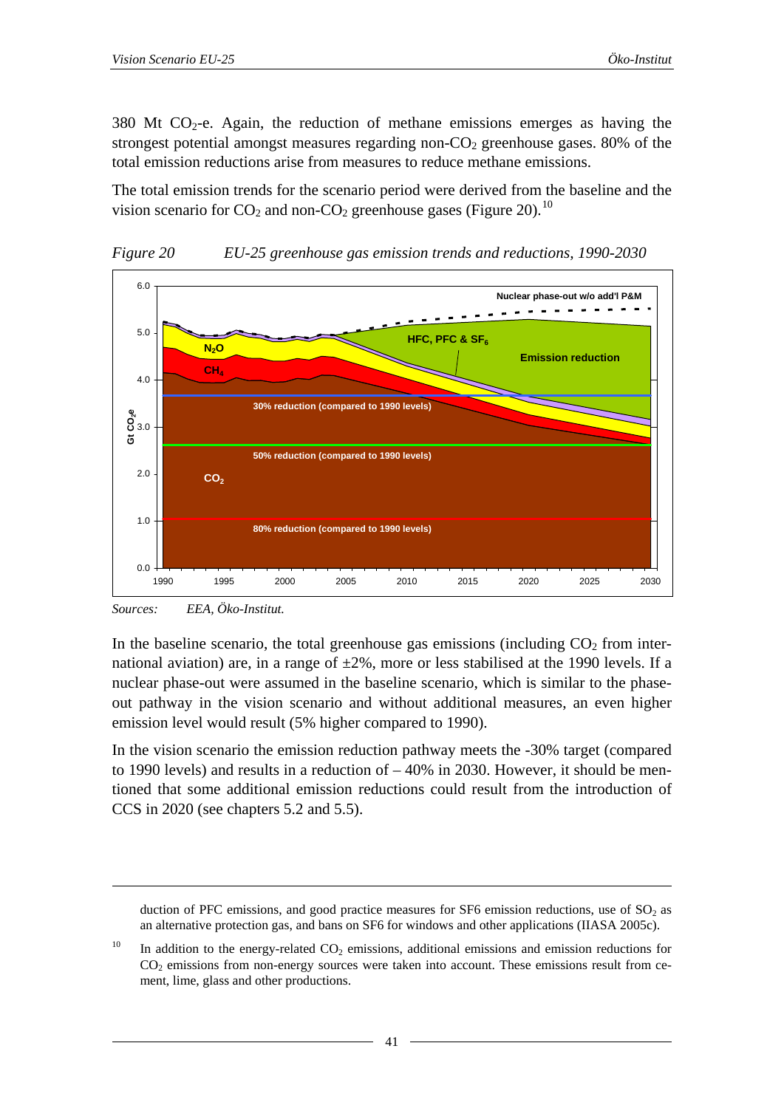<span id="page-40-0"></span>380 Mt  $CO<sub>2</sub>$ -e. Again, the reduction of methane emissions emerges as having the strongest potential amongst measures regarding non- $CO<sub>2</sub>$  greenhouse gases. 80% of the total emission reductions arise from measures to reduce methane emissions.

The total emission trends for the scenario period were derived from the baseline and the vision scenario for  $CO_2$  and non- $CO_2$  greenhouse gases ([Figure 20](#page-40-1)).<sup>[10](#page-40-0)</sup>

<span id="page-40-1"></span>

*Figure 20 EU-25 greenhouse gas emission trends and reductions, 1990-2030* 

1

In the baseline scenario, the total greenhouse gas emissions (including  $CO<sub>2</sub>$  from international aviation) are, in a range of  $\pm 2\%$ , more or less stabilised at the 1990 levels. If a nuclear phase-out were assumed in the baseline scenario, which is similar to the phaseout pathway in the vision scenario and without additional measures, an even higher emission level would result (5% higher compared to 1990).

In the vision scenario the emission reduction pathway meets the -30% target (compared to 1990 levels) and results in a reduction of – 40% in 2030. However, it should be mentioned that some additional emission reductions could result from the introduction of CCS in 2020 (see chapters [5.2](#page-30-1) and [5.5\)](#page-41-1).

*Sources: EEA, Öko-Institut.* 

duction of PFC emissions, and good practice measures for SF6 emission reductions, use of  $SO<sub>2</sub>$  as an alternative protection gas, and bans on SF6 for windows and other applications (IIASA 2005c).

<sup>&</sup>lt;sup>10</sup> In addition to the energy-related CO<sub>2</sub> emissions, additional emissions and emission reductions for  $CO<sub>2</sub>$  emissions from non-energy sources were taken into account. These emissions result from cement, lime, glass and other productions.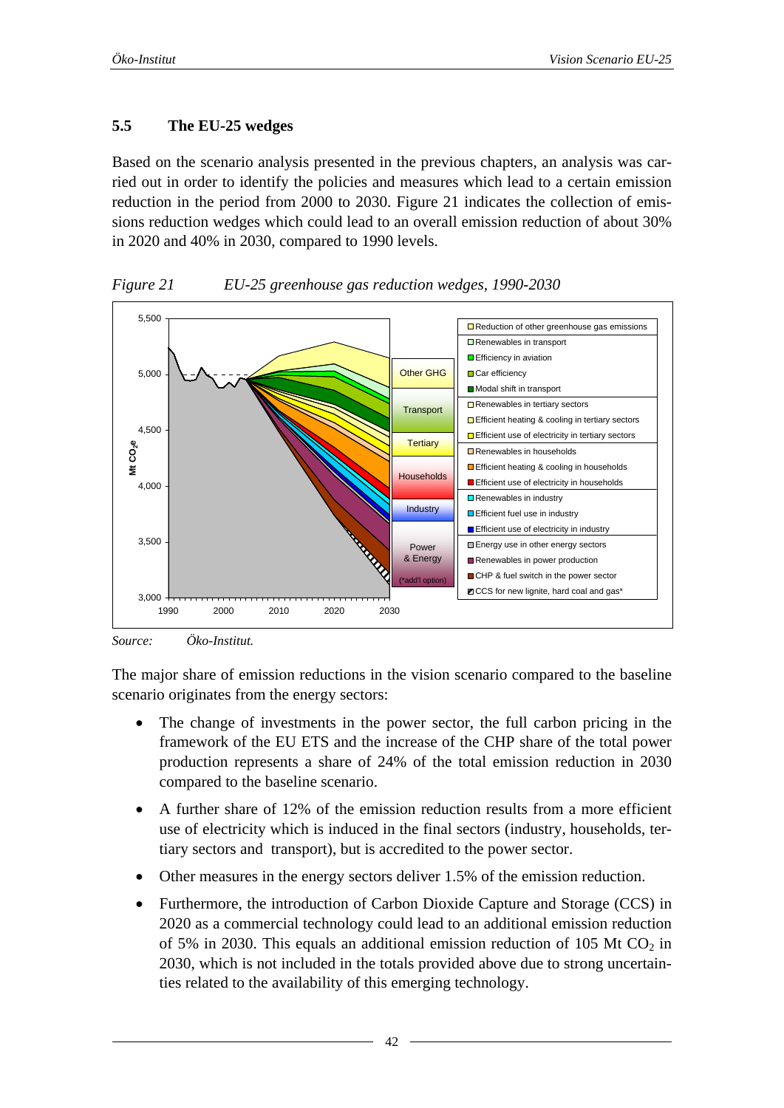## <span id="page-41-1"></span><span id="page-41-0"></span>**5.5 The EU-25 wedges**

Based on the scenario analysis presented in the previous chapters, an analysis was carried out in order to identify the policies and measures which lead to a certain emission reduction in the period from 2000 to 2030. [Figure 21](#page-41-2) indicates the collection of emissions reduction wedges which could lead to an overall emission reduction of about 30% in 2020 and 40% in 2030, compared to 1990 levels.

<span id="page-41-2"></span>

*Figure 21 EU-25 greenhouse gas reduction wedges, 1990-2030* 

*Source: Öko-Institut.* 

The major share of emission reductions in the vision scenario compared to the baseline scenario originates from the energy sectors:

- The change of investments in the power sector, the full carbon pricing in the framework of the EU ETS and the increase of the CHP share of the total power production represents a share of 24% of the total emission reduction in 2030 compared to the baseline scenario.
- A further share of 12% of the emission reduction results from a more efficient use of electricity which is induced in the final sectors (industry, households, tertiary sectors and transport), but is accredited to the power sector.
- Other measures in the energy sectors deliver 1.5% of the emission reduction.
- Furthermore, the introduction of Carbon Dioxide Capture and Storage (CCS) in 2020 as a commercial technology could lead to an additional emission reduction of 5% in 2030. This equals an additional emission reduction of 105 Mt  $CO<sub>2</sub>$  in 2030, which is not included in the totals provided above due to strong uncertainties related to the availability of this emerging technology.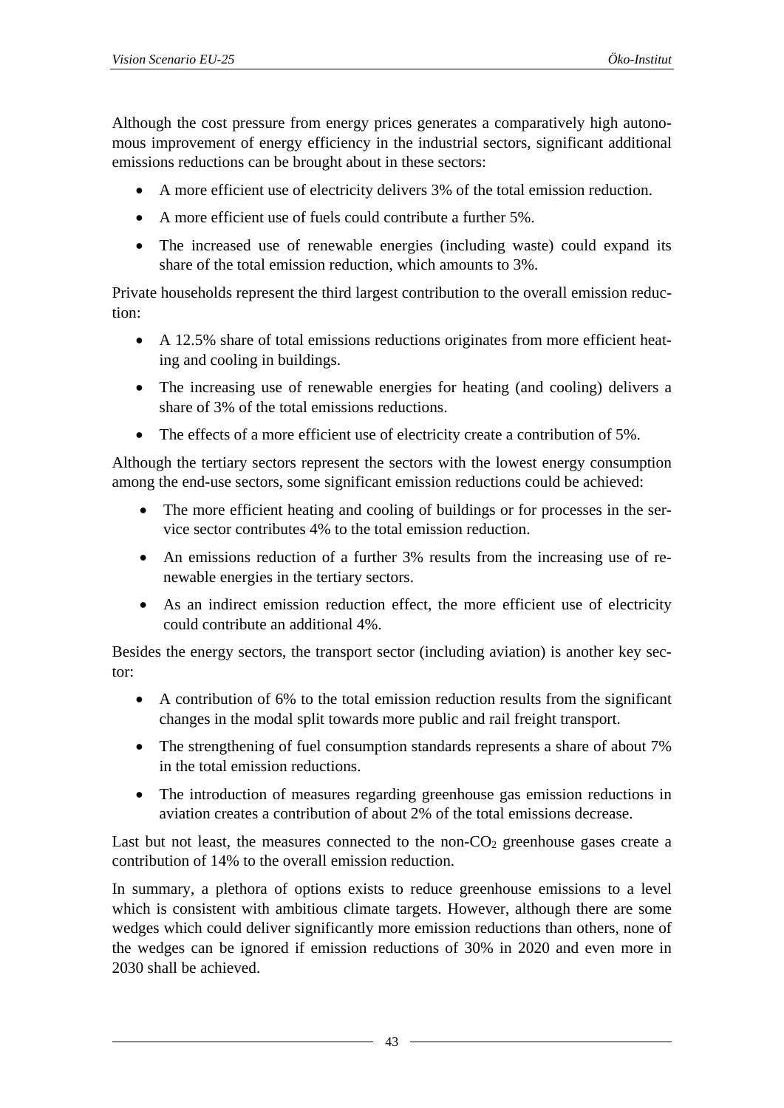Although the cost pressure from energy prices generates a comparatively high autonomous improvement of energy efficiency in the industrial sectors, significant additional emissions reductions can be brought about in these sectors:

- A more efficient use of electricity delivers 3% of the total emission reduction.
- A more efficient use of fuels could contribute a further 5%.
- The increased use of renewable energies (including waste) could expand its share of the total emission reduction, which amounts to 3%.

Private households represent the third largest contribution to the overall emission reduction:

- A 12.5% share of total emissions reductions originates from more efficient heating and cooling in buildings.
- The increasing use of renewable energies for heating (and cooling) delivers a share of 3% of the total emissions reductions.
- The effects of a more efficient use of electricity create a contribution of 5%.

Although the tertiary sectors represent the sectors with the lowest energy consumption among the end-use sectors, some significant emission reductions could be achieved:

- The more efficient heating and cooling of buildings or for processes in the service sector contributes 4% to the total emission reduction.
- An emissions reduction of a further 3% results from the increasing use of renewable energies in the tertiary sectors.
- As an indirect emission reduction effect, the more efficient use of electricity could contribute an additional 4%.

Besides the energy sectors, the transport sector (including aviation) is another key sector:

- A contribution of 6% to the total emission reduction results from the significant changes in the modal split towards more public and rail freight transport.
- The strengthening of fuel consumption standards represents a share of about 7% in the total emission reductions.
- The introduction of measures regarding greenhouse gas emission reductions in aviation creates a contribution of about 2% of the total emissions decrease.

Last but not least, the measures connected to the non- $CO<sub>2</sub>$  greenhouse gases create a contribution of 14% to the overall emission reduction.

In summary, a plethora of options exists to reduce greenhouse emissions to a level which is consistent with ambitious climate targets. However, although there are some wedges which could deliver significantly more emission reductions than others, none of the wedges can be ignored if emission reductions of 30% in 2020 and even more in 2030 shall be achieved.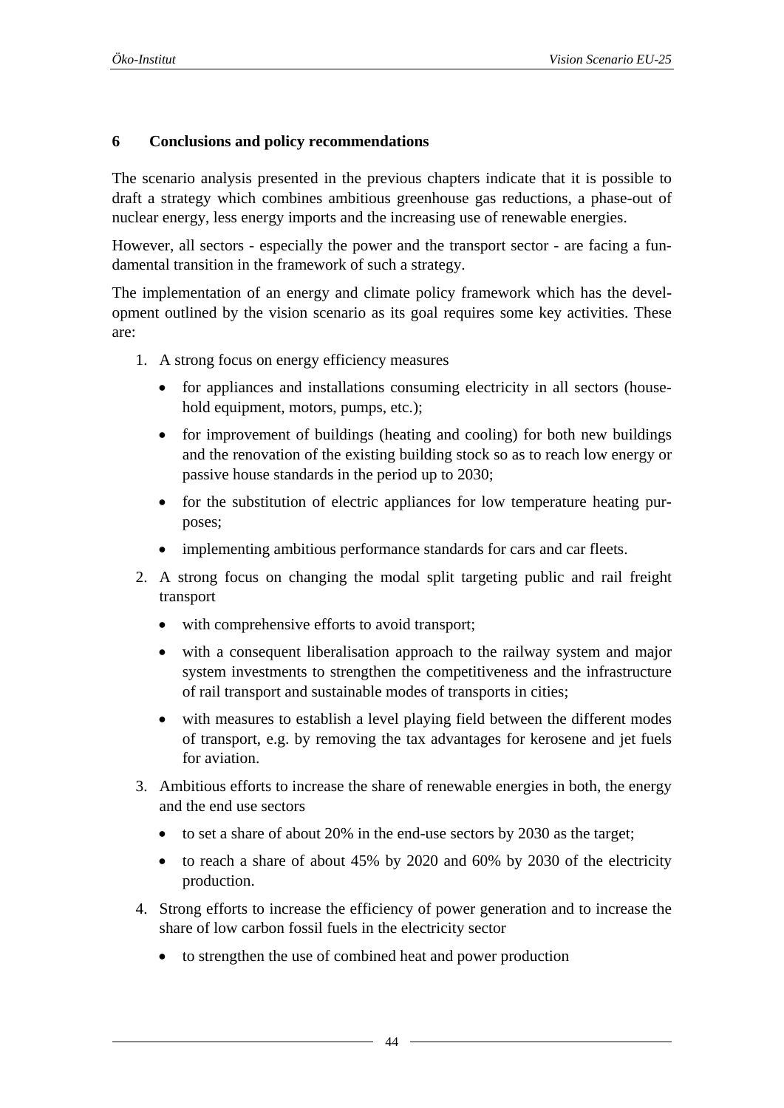#### <span id="page-43-0"></span>**6 Conclusions and policy recommendations**

The scenario analysis presented in the previous chapters indicate that it is possible to draft a strategy which combines ambitious greenhouse gas reductions, a phase-out of nuclear energy, less energy imports and the increasing use of renewable energies.

However, all sectors - especially the power and the transport sector - are facing a fundamental transition in the framework of such a strategy.

The implementation of an energy and climate policy framework which has the development outlined by the vision scenario as its goal requires some key activities. These are:

- 1. A strong focus on energy efficiency measures
	- for appliances and installations consuming electricity in all sectors (household equipment, motors, pumps, etc.);
	- for improvement of buildings (heating and cooling) for both new buildings and the renovation of the existing building stock so as to reach low energy or passive house standards in the period up to 2030;
	- for the substitution of electric appliances for low temperature heating purposes;
	- implementing ambitious performance standards for cars and car fleets.
- 2. A strong focus on changing the modal split targeting public and rail freight transport
	- with comprehensive efforts to avoid transport;
	- with a consequent liberalisation approach to the railway system and major system investments to strengthen the competitiveness and the infrastructure of rail transport and sustainable modes of transports in cities;
	- with measures to establish a level playing field between the different modes of transport, e.g. by removing the tax advantages for kerosene and jet fuels for aviation.
- 3. Ambitious efforts to increase the share of renewable energies in both, the energy and the end use sectors
	- to set a share of about 20% in the end-use sectors by 2030 as the target;
	- to reach a share of about 45% by 2020 and 60% by 2030 of the electricity production.
- 4. Strong efforts to increase the efficiency of power generation and to increase the share of low carbon fossil fuels in the electricity sector
	- to strengthen the use of combined heat and power production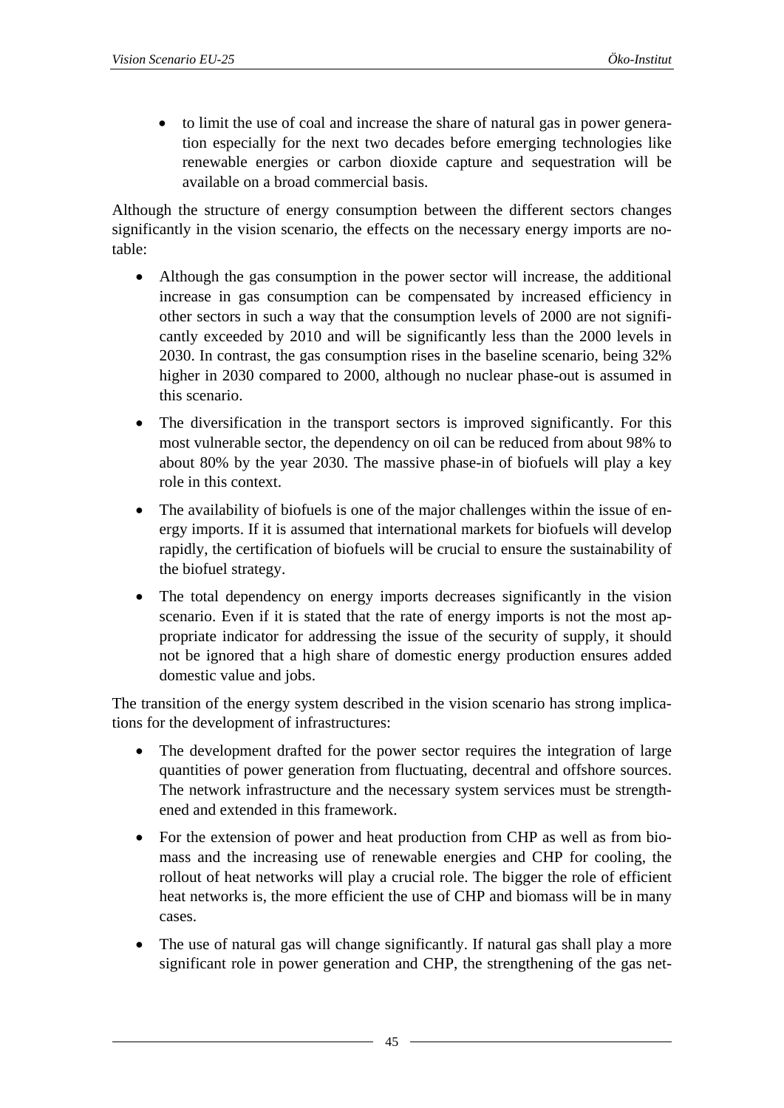• to limit the use of coal and increase the share of natural gas in power generation especially for the next two decades before emerging technologies like renewable energies or carbon dioxide capture and sequestration will be available on a broad commercial basis.

Although the structure of energy consumption between the different sectors changes significantly in the vision scenario, the effects on the necessary energy imports are notable:

- Although the gas consumption in the power sector will increase, the additional increase in gas consumption can be compensated by increased efficiency in other sectors in such a way that the consumption levels of 2000 are not significantly exceeded by 2010 and will be significantly less than the 2000 levels in 2030. In contrast, the gas consumption rises in the baseline scenario, being 32% higher in 2030 compared to 2000, although no nuclear phase-out is assumed in this scenario.
- The diversification in the transport sectors is improved significantly. For this most vulnerable sector, the dependency on oil can be reduced from about 98% to about 80% by the year 2030. The massive phase-in of biofuels will play a key role in this context.
- The availability of biofuels is one of the major challenges within the issue of energy imports. If it is assumed that international markets for biofuels will develop rapidly, the certification of biofuels will be crucial to ensure the sustainability of the biofuel strategy.
- The total dependency on energy imports decreases significantly in the vision scenario. Even if it is stated that the rate of energy imports is not the most appropriate indicator for addressing the issue of the security of supply, it should not be ignored that a high share of domestic energy production ensures added domestic value and jobs.

The transition of the energy system described in the vision scenario has strong implications for the development of infrastructures:

- The development drafted for the power sector requires the integration of large quantities of power generation from fluctuating, decentral and offshore sources. The network infrastructure and the necessary system services must be strengthened and extended in this framework.
- For the extension of power and heat production from CHP as well as from biomass and the increasing use of renewable energies and CHP for cooling, the rollout of heat networks will play a crucial role. The bigger the role of efficient heat networks is, the more efficient the use of CHP and biomass will be in many cases.
- The use of natural gas will change significantly. If natural gas shall play a more significant role in power generation and CHP, the strengthening of the gas net-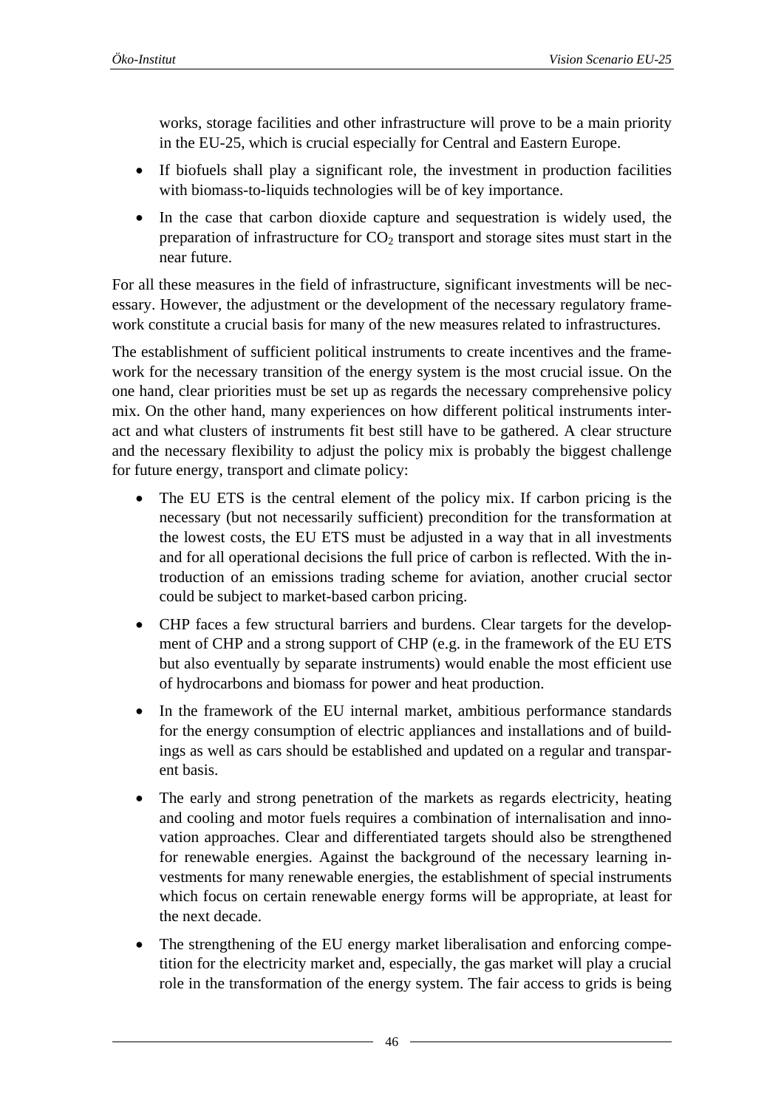works, storage facilities and other infrastructure will prove to be a main priority in the EU-25, which is crucial especially for Central and Eastern Europe.

- If biofuels shall play a significant role, the investment in production facilities with biomass-to-liquids technologies will be of key importance.
- In the case that carbon dioxide capture and sequestration is widely used, the preparation of infrastructure for  $CO<sub>2</sub>$  transport and storage sites must start in the near future.

For all these measures in the field of infrastructure, significant investments will be necessary. However, the adjustment or the development of the necessary regulatory framework constitute a crucial basis for many of the new measures related to infrastructures.

The establishment of sufficient political instruments to create incentives and the framework for the necessary transition of the energy system is the most crucial issue. On the one hand, clear priorities must be set up as regards the necessary comprehensive policy mix. On the other hand, many experiences on how different political instruments interact and what clusters of instruments fit best still have to be gathered. A clear structure and the necessary flexibility to adjust the policy mix is probably the biggest challenge for future energy, transport and climate policy:

- The EU ETS is the central element of the policy mix. If carbon pricing is the necessary (but not necessarily sufficient) precondition for the transformation at the lowest costs, the EU ETS must be adjusted in a way that in all investments and for all operational decisions the full price of carbon is reflected. With the introduction of an emissions trading scheme for aviation, another crucial sector could be subject to market-based carbon pricing.
- CHP faces a few structural barriers and burdens. Clear targets for the development of CHP and a strong support of CHP (e.g. in the framework of the EU ETS but also eventually by separate instruments) would enable the most efficient use of hydrocarbons and biomass for power and heat production.
- In the framework of the EU internal market, ambitious performance standards for the energy consumption of electric appliances and installations and of buildings as well as cars should be established and updated on a regular and transparent basis.
- The early and strong penetration of the markets as regards electricity, heating and cooling and motor fuels requires a combination of internalisation and innovation approaches. Clear and differentiated targets should also be strengthened for renewable energies. Against the background of the necessary learning investments for many renewable energies, the establishment of special instruments which focus on certain renewable energy forms will be appropriate, at least for the next decade.
- The strengthening of the EU energy market liberalisation and enforcing competition for the electricity market and, especially, the gas market will play a crucial role in the transformation of the energy system. The fair access to grids is being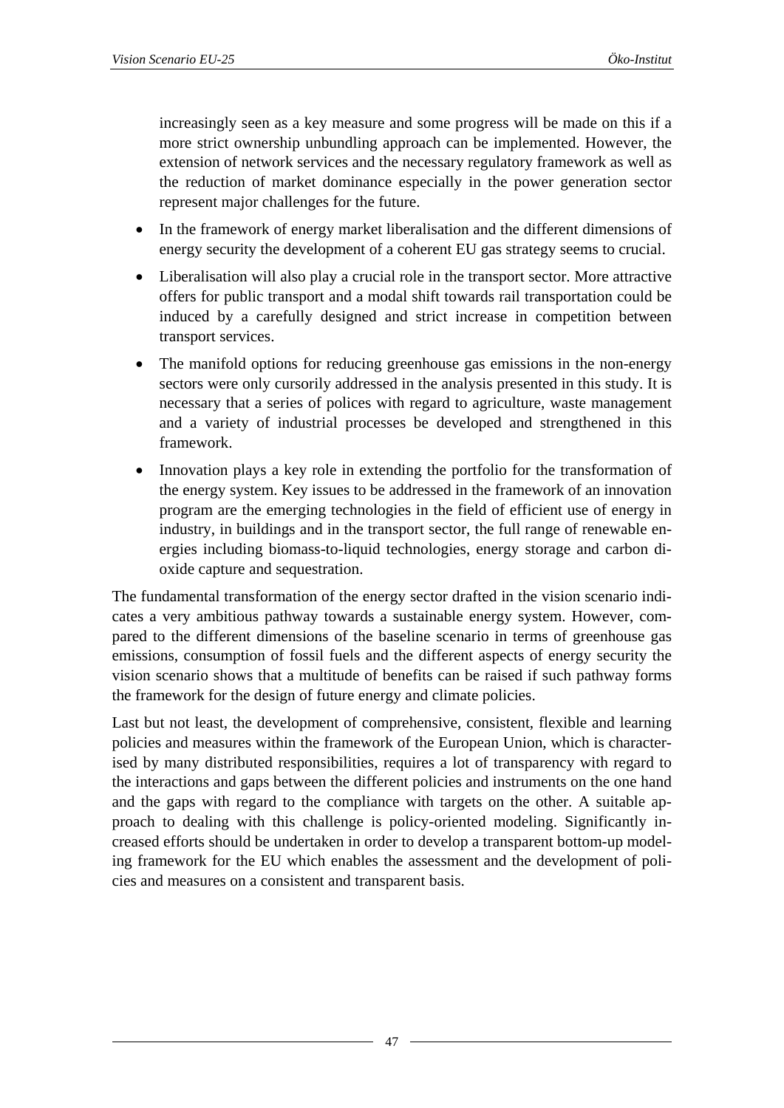increasingly seen as a key measure and some progress will be made on this if a more strict ownership unbundling approach can be implemented. However, the extension of network services and the necessary regulatory framework as well as the reduction of market dominance especially in the power generation sector represent major challenges for the future.

- In the framework of energy market liberalisation and the different dimensions of energy security the development of a coherent EU gas strategy seems to crucial.
- Liberalisation will also play a crucial role in the transport sector. More attractive offers for public transport and a modal shift towards rail transportation could be induced by a carefully designed and strict increase in competition between transport services.
- The manifold options for reducing greenhouse gas emissions in the non-energy sectors were only cursorily addressed in the analysis presented in this study. It is necessary that a series of polices with regard to agriculture, waste management and a variety of industrial processes be developed and strengthened in this framework.
- Innovation plays a key role in extending the portfolio for the transformation of the energy system. Key issues to be addressed in the framework of an innovation program are the emerging technologies in the field of efficient use of energy in industry, in buildings and in the transport sector, the full range of renewable energies including biomass-to-liquid technologies, energy storage and carbon dioxide capture and sequestration.

The fundamental transformation of the energy sector drafted in the vision scenario indicates a very ambitious pathway towards a sustainable energy system. However, compared to the different dimensions of the baseline scenario in terms of greenhouse gas emissions, consumption of fossil fuels and the different aspects of energy security the vision scenario shows that a multitude of benefits can be raised if such pathway forms the framework for the design of future energy and climate policies.

Last but not least, the development of comprehensive, consistent, flexible and learning policies and measures within the framework of the European Union, which is characterised by many distributed responsibilities, requires a lot of transparency with regard to the interactions and gaps between the different policies and instruments on the one hand and the gaps with regard to the compliance with targets on the other. A suitable approach to dealing with this challenge is policy-oriented modeling. Significantly increased efforts should be undertaken in order to develop a transparent bottom-up modeling framework for the EU which enables the assessment and the development of policies and measures on a consistent and transparent basis.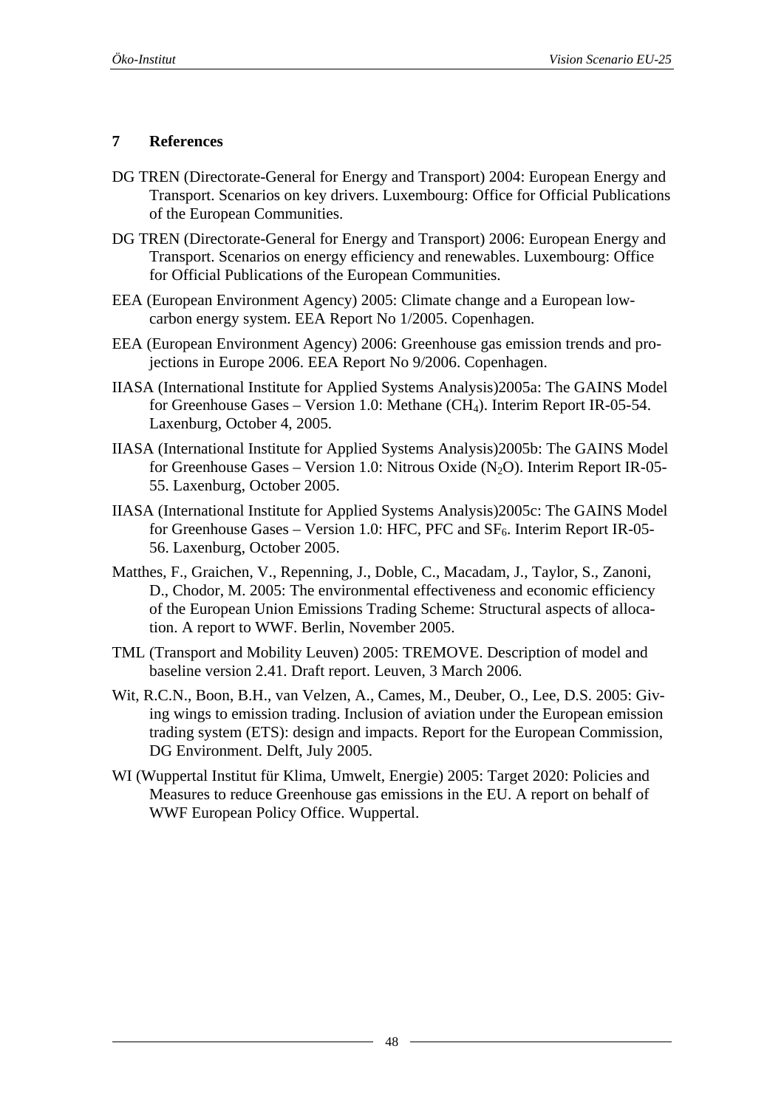#### <span id="page-47-0"></span>**7 References**

- DG TREN (Directorate-General for Energy and Transport) 2004: European Energy and Transport. Scenarios on key drivers. Luxembourg: Office for Official Publications of the European Communities.
- DG TREN (Directorate-General for Energy and Transport) 2006: European Energy and Transport. Scenarios on energy efficiency and renewables. Luxembourg: Office for Official Publications of the European Communities.
- EEA (European Environment Agency) 2005: Climate change and a European lowcarbon energy system. EEA Report No 1/2005. Copenhagen.
- EEA (European Environment Agency) 2006: Greenhouse gas emission trends and projections in Europe 2006. EEA Report No 9/2006. Copenhagen.
- IIASA (International Institute for Applied Systems Analysis)2005a: The GAINS Model for Greenhouse Gases – Version 1.0: Methane (CH4). Interim Report IR-05-54. Laxenburg, October 4, 2005.
- IIASA (International Institute for Applied Systems Analysis)2005b: The GAINS Model for Greenhouse Gases – Version 1.0: Nitrous Oxide  $(N_2O)$ . Interim Report IR-05-55. Laxenburg, October 2005.
- IIASA (International Institute for Applied Systems Analysis)2005c: The GAINS Model for Greenhouse Gases - Version 1.0: HFC, PFC and  $SF_6$ . Interim Report IR-05-56. Laxenburg, October 2005.
- Matthes, F., Graichen, V., Repenning, J., Doble, C., Macadam, J., Taylor, S., Zanoni, D., Chodor, M. 2005: The environmental effectiveness and economic efficiency of the European Union Emissions Trading Scheme: Structural aspects of allocation. A report to WWF. Berlin, November 2005.
- TML (Transport and Mobility Leuven) 2005: TREMOVE. Description of model and baseline version 2.41. Draft report. Leuven, 3 March 2006.
- Wit, R.C.N., Boon, B.H., van Velzen, A., Cames, M., Deuber, O., Lee, D.S. 2005: Giving wings to emission trading. Inclusion of aviation under the European emission trading system (ETS): design and impacts. Report for the European Commission, DG Environment. Delft, July 2005.
- WI (Wuppertal Institut für Klima, Umwelt, Energie) 2005: Target 2020: Policies and Measures to reduce Greenhouse gas emissions in the EU. A report on behalf of WWF European Policy Office. Wuppertal.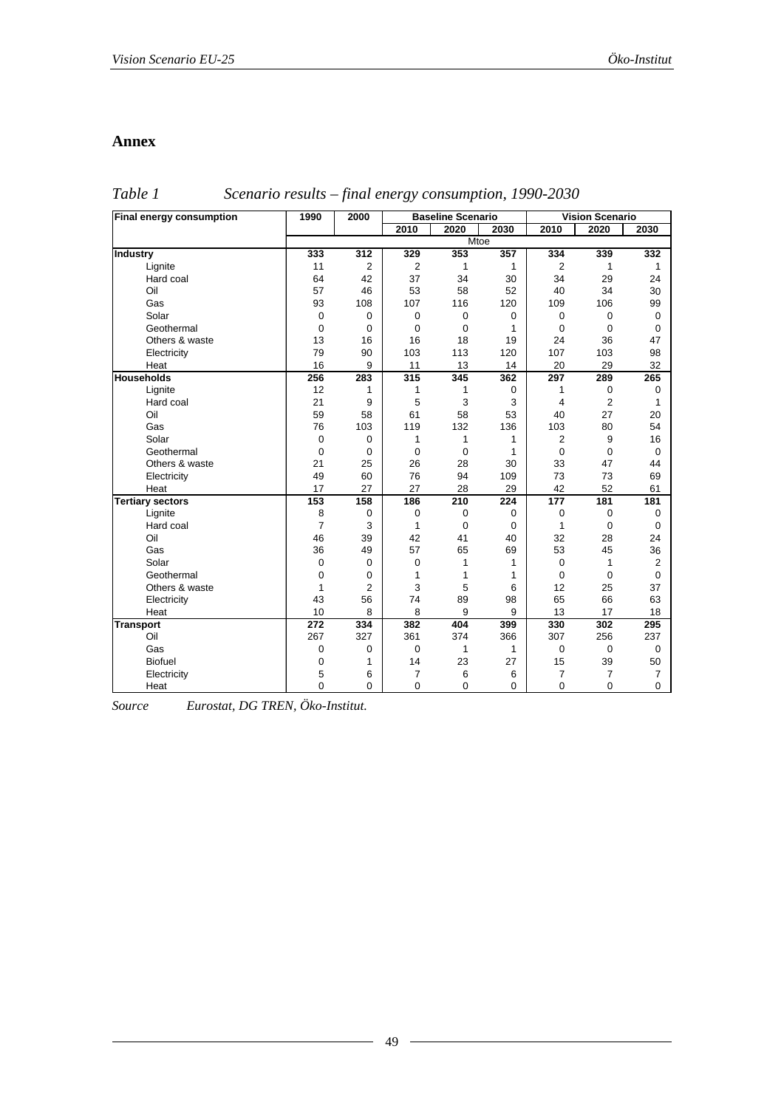#### <span id="page-48-0"></span>**Annex**

*Table 1 Scenario results – final energy consumption, 1990-2030* 

| Final energy consumption | 1990             | 2000             | <b>Baseline Scenario</b> |              | <b>Vision Scenario</b> |                  |                |                |
|--------------------------|------------------|------------------|--------------------------|--------------|------------------------|------------------|----------------|----------------|
|                          |                  |                  | 2010                     | 2020         | 2030                   | 2010             | 2020           | 2030           |
|                          | Mtoe             |                  |                          |              |                        |                  |                |                |
| Industry                 | 333              | $\overline{312}$ | 329                      | 353          | 357                    | 334              | 339            | 332            |
| Lignite                  | 11               | $\overline{2}$   | 2                        | 1            | $\mathbf{1}$           | 2                | 1              | 1              |
| Hard coal                | 64               | 42               | 37                       | 34           | 30                     | 34               | 29             | 24             |
| Oil                      | 57               | 46               | 53                       | 58           | 52                     | 40               | 34             | 30             |
| Gas                      | 93               | 108              | 107                      | 116          | 120                    | 109              | 106            | 99             |
| Solar                    | 0                | $\pmb{0}$        | 0                        | 0            | $\mathbf 0$            | $\mathbf 0$      | 0              | 0              |
| Geothermal               | 0                | 0                | 0                        | $\mathbf 0$  | $\mathbf{1}$           | $\mathbf 0$      | 0              | 0              |
| Others & waste           | 13               | 16               | 16                       | 18           | 19                     | 24               | 36             | 47             |
| Electricity              | 79               | 90               | 103                      | 113          | 120                    | 107              | 103            | 98             |
| Heat                     | 16               | 9                | 11                       | 13           | 14                     | 20               | 29             | 32             |
| <b>Households</b>        | 256              | 283              | 315                      | 345          | 362                    | 297              | 289            | 265            |
| Lignite                  | 12               | 1                | 1                        | 1            | $\mathbf 0$            | 1                | 0              | $\mathbf 0$    |
| Hard coal                | 21               | 9                | 5                        | 3            | 3                      | 4                | $\overline{2}$ | 1              |
| Oil                      | 59               | 58               | 61                       | 58           | 53                     | 40               | 27             | 20             |
| Gas                      | 76               | 103              | 119                      | 132          | 136                    | 103              | 80             | 54             |
| Solar                    | 0                | 0                | 1                        | $\mathbf{1}$ | $\mathbf{1}$           | 2                | 9              | 16             |
| Geothermal               | 0                | $\mathbf 0$      | $\mathbf 0$              | $\mathbf 0$  | $\mathbf{1}$           | $\mathbf 0$      | 0              | $\mathbf 0$    |
| Others & waste           | 21               | 25               | 26                       | 28           | 30                     | 33               | 47             | 44             |
| Electricity              | 49               | 60               | 76                       | 94           | 109                    | 73               | 73             | 69             |
| Heat                     | 17               | 27               | 27                       | 28           | 29                     | 42               | 52             | 61             |
| <b>Tertiary sectors</b>  | 153              | 158              | 186                      | 210          | 224                    | 177              | 181            | 181            |
| Lignite                  | 8                | $\boldsymbol{0}$ | $\boldsymbol{0}$         | $\mathbf 0$  | $\mathbf 0$            | $\boldsymbol{0}$ | 0              | $\mathbf 0$    |
| Hard coal                | $\overline{7}$   | 3                | $\mathbf{1}$             | $\mathbf 0$  | $\mathbf 0$            | 1                | 0              | $\mathbf 0$    |
| Oil                      | 46               | 39               | 42                       | 41           | 40                     | 32               | 28             | 24             |
| Gas                      | 36               | 49               | 57                       | 65           | 69                     | 53               | 45             | 36             |
| Solar                    | 0                | $\mathbf 0$      | 0                        | 1            | $\mathbf{1}$           | $\mathbf 0$      | 1              | 2              |
| Geothermal               | 0                | 0                | 1                        | 1            | 1                      | $\mathbf 0$      | 0              | $\mathbf 0$    |
| Others & waste           | 1                | $\overline{2}$   | 3                        | 5            | 6                      | 12               | 25             | 37             |
| Electricity              | 43               | 56               | 74                       | 89           | 98                     | 65               | 66             | 63             |
| Heat                     | 10               | 8                | 8                        | 9            | 9                      | 13               | 17             | 18             |
| <b>Transport</b>         | $\overline{272}$ | 334              | 382                      | 404          | 399                    | 330              | 302            | 295            |
| Oil                      | 267              | 327              | 361                      | 374          | 366                    | 307              | 256            | 237            |
| Gas                      | 0                | 0                | 0                        | 1            | $\mathbf{1}$           | $\mathbf 0$      | 0              | $\mathbf 0$    |
| <b>Biofuel</b>           | 0                | 1                | 14                       | 23           | 27                     | 15               | 39             | 50             |
| Electricity              | 5                | 6                | $\overline{7}$           | 6            | 6                      | 7                | $\overline{7}$ | $\overline{7}$ |
| Heat                     | $\overline{0}$   | $\Omega$         | $\Omega$                 | $\Omega$     | 0                      | $\Omega$         | 0              | $\Omega$       |

*Source Eurostat, DG TREN, Öko-Institut.*